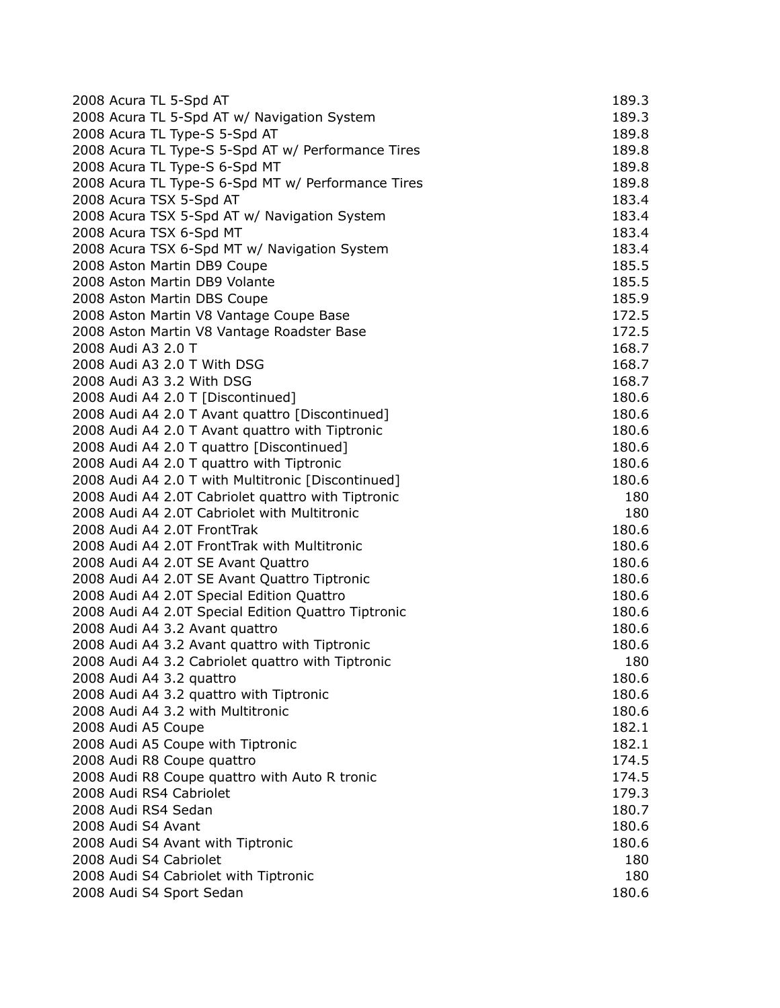| 2008 Acura TL 5-Spd AT                              | 189.3 |
|-----------------------------------------------------|-------|
| 2008 Acura TL 5-Spd AT w/ Navigation System         | 189.3 |
| 2008 Acura TL Type-S 5-Spd AT                       | 189.8 |
| 2008 Acura TL Type-S 5-Spd AT w/ Performance Tires  | 189.8 |
| 2008 Acura TL Type-S 6-Spd MT                       | 189.8 |
| 2008 Acura TL Type-S 6-Spd MT w/ Performance Tires  | 189.8 |
| 2008 Acura TSX 5-Spd AT                             | 183.4 |
| 2008 Acura TSX 5-Spd AT w/ Navigation System        | 183.4 |
| 2008 Acura TSX 6-Spd MT                             | 183.4 |
| 2008 Acura TSX 6-Spd MT w/ Navigation System        | 183.4 |
| 2008 Aston Martin DB9 Coupe                         | 185.5 |
| 2008 Aston Martin DB9 Volante                       | 185.5 |
| 2008 Aston Martin DBS Coupe                         | 185.9 |
| 2008 Aston Martin V8 Vantage Coupe Base             | 172.5 |
| 2008 Aston Martin V8 Vantage Roadster Base          | 172.5 |
| 2008 Audi A3 2.0 T                                  | 168.7 |
| 2008 Audi A3 2.0 T With DSG                         | 168.7 |
| 2008 Audi A3 3.2 With DSG                           | 168.7 |
| 2008 Audi A4 2.0 T [Discontinued]                   | 180.6 |
| 2008 Audi A4 2.0 T Avant quattro [Discontinued]     | 180.6 |
| 2008 Audi A4 2.0 T Avant quattro with Tiptronic     | 180.6 |
| 2008 Audi A4 2.0 T quattro [Discontinued]           | 180.6 |
| 2008 Audi A4 2.0 T quattro with Tiptronic           | 180.6 |
| 2008 Audi A4 2.0 T with Multitronic [Discontinued]  | 180.6 |
| 2008 Audi A4 2.0T Cabriolet quattro with Tiptronic  | 180   |
| 2008 Audi A4 2.0T Cabriolet with Multitronic        | 180   |
| 2008 Audi A4 2.0T FrontTrak                         | 180.6 |
| 2008 Audi A4 2.0T FrontTrak with Multitronic        | 180.6 |
| 2008 Audi A4 2.0T SE Avant Quattro                  | 180.6 |
| 2008 Audi A4 2.0T SE Avant Quattro Tiptronic        | 180.6 |
| 2008 Audi A4 2.0T Special Edition Quattro           | 180.6 |
| 2008 Audi A4 2.0T Special Edition Quattro Tiptronic | 180.6 |
| 2008 Audi A4 3.2 Avant quattro                      | 180.6 |
| 2008 Audi A4 3.2 Avant quattro with Tiptronic       | 180.6 |
| 2008 Audi A4 3.2 Cabriolet quattro with Tiptronic   | 180   |
| 2008 Audi A4 3.2 quattro                            | 180.6 |
| 2008 Audi A4 3.2 quattro with Tiptronic             | 180.6 |
| 2008 Audi A4 3.2 with Multitronic                   | 180.6 |
| 2008 Audi A5 Coupe                                  | 182.1 |
| 2008 Audi A5 Coupe with Tiptronic                   | 182.1 |
| 2008 Audi R8 Coupe quattro                          | 174.5 |
| 2008 Audi R8 Coupe quattro with Auto R tronic       | 174.5 |
| 2008 Audi RS4 Cabriolet                             | 179.3 |
| 2008 Audi RS4 Sedan                                 | 180.7 |
| 2008 Audi S4 Avant                                  | 180.6 |
| 2008 Audi S4 Avant with Tiptronic                   | 180.6 |
| 2008 Audi S4 Cabriolet                              | 180   |
| 2008 Audi S4 Cabriolet with Tiptronic               | 180   |
| 2008 Audi S4 Sport Sedan                            | 180.6 |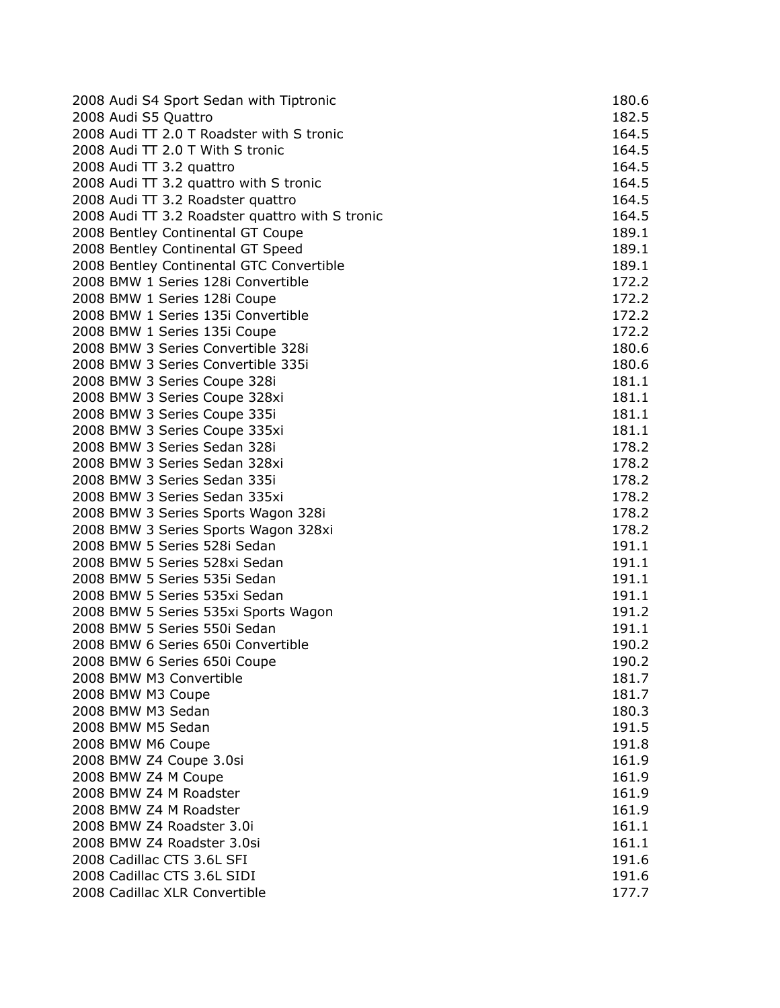| 2008 Audi S4 Sport Sedan with Tiptronic         | 180.6 |
|-------------------------------------------------|-------|
| 2008 Audi S5 Quattro                            | 182.5 |
| 2008 Audi TT 2.0 T Roadster with S tronic       | 164.5 |
| 2008 Audi TT 2.0 T With S tronic                | 164.5 |
| 2008 Audi TT 3.2 quattro                        | 164.5 |
| 2008 Audi TT 3.2 quattro with S tronic          | 164.5 |
| 2008 Audi TT 3.2 Roadster quattro               | 164.5 |
| 2008 Audi TT 3.2 Roadster quattro with S tronic | 164.5 |
| 2008 Bentley Continental GT Coupe               | 189.1 |
| 2008 Bentley Continental GT Speed               | 189.1 |
| 2008 Bentley Continental GTC Convertible        | 189.1 |
| 2008 BMW 1 Series 128i Convertible              | 172.2 |
| 2008 BMW 1 Series 128i Coupe                    | 172.2 |
| 2008 BMW 1 Series 135i Convertible              | 172.2 |
| 2008 BMW 1 Series 135i Coupe                    | 172.2 |
| 2008 BMW 3 Series Convertible 328i              | 180.6 |
| 2008 BMW 3 Series Convertible 335i              | 180.6 |
| 2008 BMW 3 Series Coupe 328i                    | 181.1 |
| 2008 BMW 3 Series Coupe 328xi                   | 181.1 |
| 2008 BMW 3 Series Coupe 335i                    | 181.1 |
| 2008 BMW 3 Series Coupe 335xi                   | 181.1 |
| 2008 BMW 3 Series Sedan 328i                    | 178.2 |
| 2008 BMW 3 Series Sedan 328xi                   | 178.2 |
| 2008 BMW 3 Series Sedan 335i                    | 178.2 |
| 2008 BMW 3 Series Sedan 335xi                   | 178.2 |
| 2008 BMW 3 Series Sports Wagon 328i             | 178.2 |
| 2008 BMW 3 Series Sports Wagon 328xi            | 178.2 |
| 2008 BMW 5 Series 528i Sedan                    | 191.1 |
| 2008 BMW 5 Series 528xi Sedan                   | 191.1 |
| 2008 BMW 5 Series 535i Sedan                    | 191.1 |
| 2008 BMW 5 Series 535xi Sedan                   | 191.1 |
| 2008 BMW 5 Series 535xi Sports Wagon            | 191.2 |
| 2008 BMW 5 Series 550i Sedan                    | 191.1 |
| 2008 BMW 6 Series 650i Convertible              | 190.2 |
| 2008 BMW 6 Series 650i Coupe                    | 190.2 |
| 2008 BMW M3 Convertible                         | 181.7 |
| 2008 BMW M3 Coupe                               | 181.7 |
| 2008 BMW M3 Sedan                               | 180.3 |
| 2008 BMW M5 Sedan                               | 191.5 |
| 2008 BMW M6 Coupe                               | 191.8 |
| 2008 BMW Z4 Coupe 3.0si                         | 161.9 |
| 2008 BMW Z4 M Coupe                             | 161.9 |
| 2008 BMW Z4 M Roadster                          | 161.9 |
| 2008 BMW Z4 M Roadster                          | 161.9 |
| 2008 BMW Z4 Roadster 3.0i                       | 161.1 |
| 2008 BMW Z4 Roadster 3.0si                      | 161.1 |
| 2008 Cadillac CTS 3.6L SFI                      | 191.6 |
| 2008 Cadillac CTS 3.6L SIDI                     | 191.6 |
| 2008 Cadillac XLR Convertible                   | 177.7 |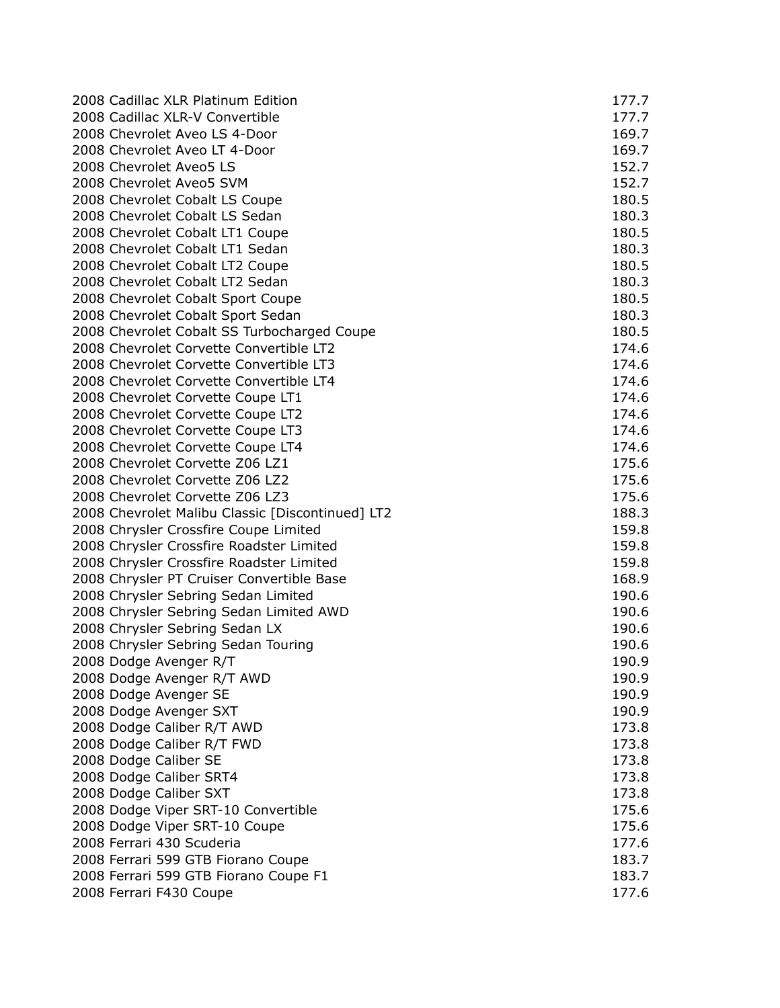| 2008 Cadillac XLR Platinum Edition               | 177.7 |
|--------------------------------------------------|-------|
| 2008 Cadillac XLR-V Convertible                  | 177.7 |
| 2008 Chevrolet Aveo LS 4-Door                    | 169.7 |
| 2008 Chevrolet Aveo LT 4-Door                    | 169.7 |
| 2008 Chevrolet Aveo5 LS                          | 152.7 |
| 2008 Chevrolet Aveo5 SVM                         | 152.7 |
| 2008 Chevrolet Cobalt LS Coupe                   | 180.5 |
| 2008 Chevrolet Cobalt LS Sedan                   | 180.3 |
| 2008 Chevrolet Cobalt LT1 Coupe                  | 180.5 |
| 2008 Chevrolet Cobalt LT1 Sedan                  | 180.3 |
| 2008 Chevrolet Cobalt LT2 Coupe                  | 180.5 |
| 2008 Chevrolet Cobalt LT2 Sedan                  | 180.3 |
| 2008 Chevrolet Cobalt Sport Coupe                | 180.5 |
| 2008 Chevrolet Cobalt Sport Sedan                | 180.3 |
| 2008 Chevrolet Cobalt SS Turbocharged Coupe      | 180.5 |
| 2008 Chevrolet Corvette Convertible LT2          | 174.6 |
| 2008 Chevrolet Corvette Convertible LT3          | 174.6 |
| 2008 Chevrolet Corvette Convertible LT4          | 174.6 |
| 2008 Chevrolet Corvette Coupe LT1                | 174.6 |
| 2008 Chevrolet Corvette Coupe LT2                | 174.6 |
| 2008 Chevrolet Corvette Coupe LT3                | 174.6 |
| 2008 Chevrolet Corvette Coupe LT4                | 174.6 |
| 2008 Chevrolet Corvette Z06 LZ1                  | 175.6 |
| 2008 Chevrolet Corvette Z06 LZ2                  | 175.6 |
| 2008 Chevrolet Corvette Z06 LZ3                  | 175.6 |
| 2008 Chevrolet Malibu Classic [Discontinued] LT2 | 188.3 |
| 2008 Chrysler Crossfire Coupe Limited            | 159.8 |
| 2008 Chrysler Crossfire Roadster Limited         | 159.8 |
| 2008 Chrysler Crossfire Roadster Limited         | 159.8 |
| 2008 Chrysler PT Cruiser Convertible Base        | 168.9 |
| 2008 Chrysler Sebring Sedan Limited              | 190.6 |
| 2008 Chrysler Sebring Sedan Limited AWD          | 190.6 |
| 2008 Chrysler Sebring Sedan LX                   | 190.6 |
| 2008 Chrysler Sebring Sedan Touring              | 190.6 |
| 2008 Dodge Avenger R/T                           | 190.9 |
| 2008 Dodge Avenger R/T AWD                       | 190.9 |
| 2008 Dodge Avenger SE                            | 190.9 |
| 2008 Dodge Avenger SXT                           | 190.9 |
| 2008 Dodge Caliber R/T AWD                       | 173.8 |
| 2008 Dodge Caliber R/T FWD                       | 173.8 |
| 2008 Dodge Caliber SE                            | 173.8 |
| 2008 Dodge Caliber SRT4                          | 173.8 |
| 2008 Dodge Caliber SXT                           | 173.8 |
| 2008 Dodge Viper SRT-10 Convertible              | 175.6 |
| 2008 Dodge Viper SRT-10 Coupe                    | 175.6 |
| 2008 Ferrari 430 Scuderia                        | 177.6 |
| 2008 Ferrari 599 GTB Fiorano Coupe               | 183.7 |
| 2008 Ferrari 599 GTB Fiorano Coupe F1            | 183.7 |
| 2008 Ferrari F430 Coupe                          | 177.6 |
|                                                  |       |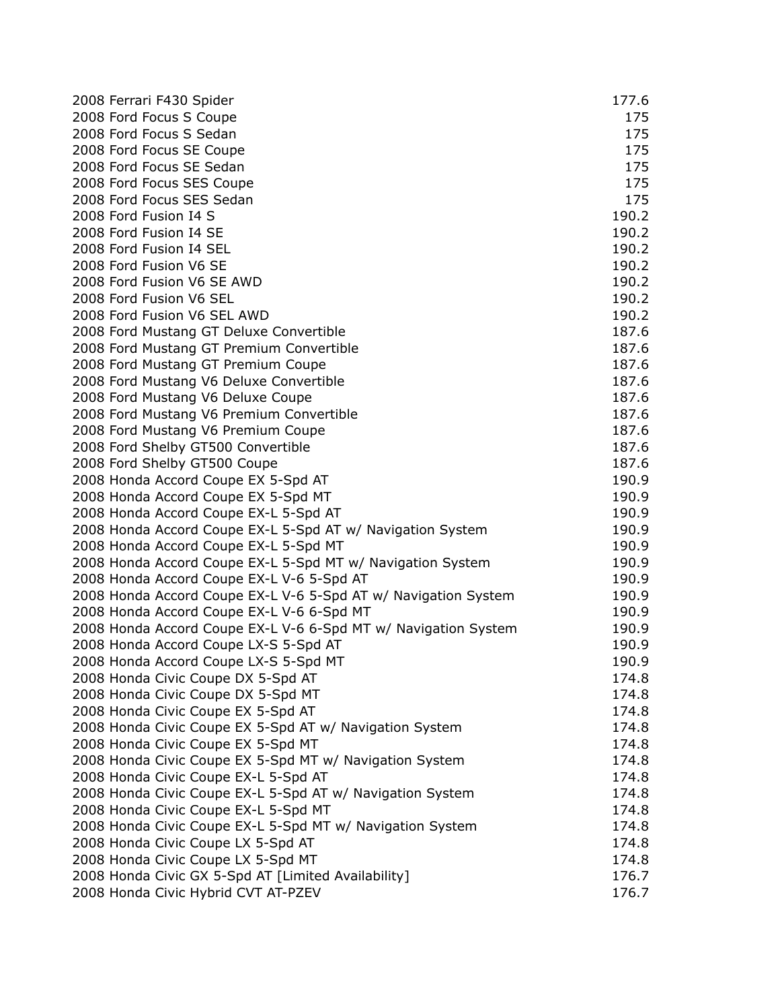| 2008 Ferrari F430 Spider                                       | 177.6 |
|----------------------------------------------------------------|-------|
| 2008 Ford Focus S Coupe                                        | 175   |
| 2008 Ford Focus S Sedan                                        | 175   |
| 2008 Ford Focus SE Coupe                                       | 175   |
| 2008 Ford Focus SE Sedan                                       | 175   |
| 2008 Ford Focus SES Coupe                                      | 175   |
| 2008 Ford Focus SES Sedan                                      | 175   |
| 2008 Ford Fusion I4 S                                          | 190.2 |
| 2008 Ford Fusion I4 SE                                         | 190.2 |
| 2008 Ford Fusion I4 SEL                                        | 190.2 |
| 2008 Ford Fusion V6 SE                                         | 190.2 |
| 2008 Ford Fusion V6 SE AWD                                     | 190.2 |
| 2008 Ford Fusion V6 SEL                                        | 190.2 |
| 2008 Ford Fusion V6 SEL AWD                                    | 190.2 |
| 2008 Ford Mustang GT Deluxe Convertible                        | 187.6 |
| 2008 Ford Mustang GT Premium Convertible                       | 187.6 |
| 2008 Ford Mustang GT Premium Coupe                             | 187.6 |
| 2008 Ford Mustang V6 Deluxe Convertible                        | 187.6 |
| 2008 Ford Mustang V6 Deluxe Coupe                              | 187.6 |
| 2008 Ford Mustang V6 Premium Convertible                       | 187.6 |
| 2008 Ford Mustang V6 Premium Coupe                             | 187.6 |
| 2008 Ford Shelby GT500 Convertible                             | 187.6 |
| 2008 Ford Shelby GT500 Coupe                                   | 187.6 |
| 2008 Honda Accord Coupe EX 5-Spd AT                            | 190.9 |
| 2008 Honda Accord Coupe EX 5-Spd MT                            | 190.9 |
| 2008 Honda Accord Coupe EX-L 5-Spd AT                          | 190.9 |
| 2008 Honda Accord Coupe EX-L 5-Spd AT w/ Navigation System     | 190.9 |
| 2008 Honda Accord Coupe EX-L 5-Spd MT                          | 190.9 |
| 2008 Honda Accord Coupe EX-L 5-Spd MT w/ Navigation System     | 190.9 |
| 2008 Honda Accord Coupe EX-L V-6 5-Spd AT                      | 190.9 |
| 2008 Honda Accord Coupe EX-L V-6 5-Spd AT w/ Navigation System | 190.9 |
| 2008 Honda Accord Coupe EX-L V-6 6-Spd MT                      | 190.9 |
| 2008 Honda Accord Coupe EX-L V-6 6-Spd MT w/ Navigation System | 190.9 |
| 2008 Honda Accord Coupe LX-S 5-Spd AT                          | 190.9 |
| 2008 Honda Accord Coupe LX-S 5-Spd MT                          | 190.9 |
| 2008 Honda Civic Coupe DX 5-Spd AT                             | 174.8 |
| 2008 Honda Civic Coupe DX 5-Spd MT                             | 174.8 |
| 2008 Honda Civic Coupe EX 5-Spd AT                             | 174.8 |
| 2008 Honda Civic Coupe EX 5-Spd AT w/ Navigation System        | 174.8 |
| 2008 Honda Civic Coupe EX 5-Spd MT                             | 174.8 |
| 2008 Honda Civic Coupe EX 5-Spd MT w/ Navigation System        | 174.8 |
| 2008 Honda Civic Coupe EX-L 5-Spd AT                           | 174.8 |
| 2008 Honda Civic Coupe EX-L 5-Spd AT w/ Navigation System      | 174.8 |
| 2008 Honda Civic Coupe EX-L 5-Spd MT                           | 174.8 |
| 2008 Honda Civic Coupe EX-L 5-Spd MT w/ Navigation System      | 174.8 |
| 2008 Honda Civic Coupe LX 5-Spd AT                             | 174.8 |
| 2008 Honda Civic Coupe LX 5-Spd MT                             | 174.8 |
| 2008 Honda Civic GX 5-Spd AT [Limited Availability]            | 176.7 |
| 2008 Honda Civic Hybrid CVT AT-PZEV                            | 176.7 |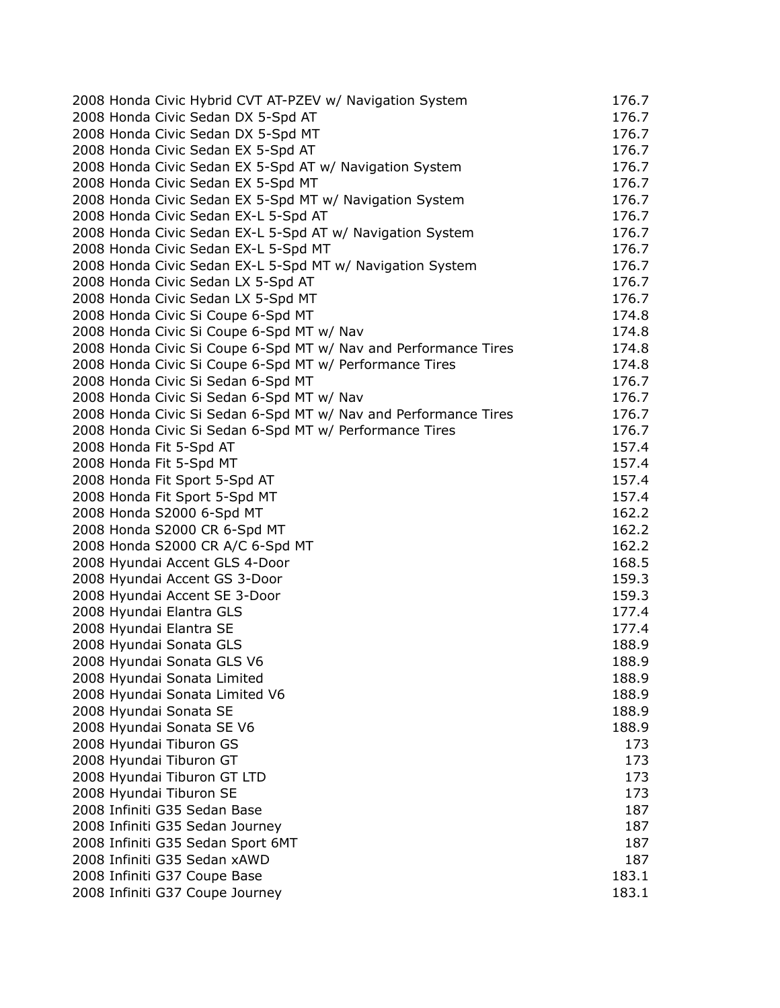| 2008 Honda Civic Hybrid CVT AT-PZEV w/ Navigation System        | 176.7 |
|-----------------------------------------------------------------|-------|
| 2008 Honda Civic Sedan DX 5-Spd AT                              | 176.7 |
| 2008 Honda Civic Sedan DX 5-Spd MT                              | 176.7 |
| 2008 Honda Civic Sedan EX 5-Spd AT                              | 176.7 |
| 2008 Honda Civic Sedan EX 5-Spd AT w/ Navigation System         | 176.7 |
| 2008 Honda Civic Sedan EX 5-Spd MT                              | 176.7 |
| 2008 Honda Civic Sedan EX 5-Spd MT w/ Navigation System         | 176.7 |
| 2008 Honda Civic Sedan EX-L 5-Spd AT                            | 176.7 |
| 2008 Honda Civic Sedan EX-L 5-Spd AT w/ Navigation System       | 176.7 |
| 2008 Honda Civic Sedan EX-L 5-Spd MT                            | 176.7 |
| 2008 Honda Civic Sedan EX-L 5-Spd MT w/ Navigation System       | 176.7 |
| 2008 Honda Civic Sedan LX 5-Spd AT                              | 176.7 |
| 2008 Honda Civic Sedan LX 5-Spd MT                              | 176.7 |
| 2008 Honda Civic Si Coupe 6-Spd MT                              | 174.8 |
| 2008 Honda Civic Si Coupe 6-Spd MT w/ Nav                       | 174.8 |
| 2008 Honda Civic Si Coupe 6-Spd MT w/ Nav and Performance Tires | 174.8 |
| 2008 Honda Civic Si Coupe 6-Spd MT w/ Performance Tires         | 174.8 |
| 2008 Honda Civic Si Sedan 6-Spd MT                              | 176.7 |
| 2008 Honda Civic Si Sedan 6-Spd MT w/ Nav                       | 176.7 |
| 2008 Honda Civic Si Sedan 6-Spd MT w/ Nav and Performance Tires | 176.7 |
| 2008 Honda Civic Si Sedan 6-Spd MT w/ Performance Tires         | 176.7 |
| 2008 Honda Fit 5-Spd AT                                         | 157.4 |
| 2008 Honda Fit 5-Spd MT                                         | 157.4 |
| 2008 Honda Fit Sport 5-Spd AT                                   | 157.4 |
| 2008 Honda Fit Sport 5-Spd MT                                   | 157.4 |
| 2008 Honda S2000 6-Spd MT                                       | 162.2 |
| 2008 Honda S2000 CR 6-Spd MT                                    | 162.2 |
| 2008 Honda S2000 CR A/C 6-Spd MT                                | 162.2 |
| 2008 Hyundai Accent GLS 4-Door                                  | 168.5 |
| 2008 Hyundai Accent GS 3-Door                                   | 159.3 |
| 2008 Hyundai Accent SE 3-Door                                   | 159.3 |
| 2008 Hyundai Elantra GLS                                        | 177.4 |
| 2008 Hyundai Elantra SE                                         | 177.4 |
| 2008 Hyundai Sonata GLS                                         | 188.9 |
| 2008 Hyundai Sonata GLS V6                                      | 188.9 |
| 2008 Hyundai Sonata Limited                                     | 188.9 |
| 2008 Hyundai Sonata Limited V6                                  | 188.9 |
| 2008 Hyundai Sonata SE                                          | 188.9 |
| 2008 Hyundai Sonata SE V6                                       | 188.9 |
| 2008 Hyundai Tiburon GS                                         | 173   |
| 2008 Hyundai Tiburon GT                                         | 173   |
| 2008 Hyundai Tiburon GT LTD                                     | 173   |
| 2008 Hyundai Tiburon SE                                         | 173   |
| 2008 Infiniti G35 Sedan Base                                    | 187   |
| 2008 Infiniti G35 Sedan Journey                                 | 187   |
| 2008 Infiniti G35 Sedan Sport 6MT                               | 187   |
| 2008 Infiniti G35 Sedan xAWD                                    | 187   |
| 2008 Infiniti G37 Coupe Base                                    | 183.1 |
| 2008 Infiniti G37 Coupe Journey                                 | 183.1 |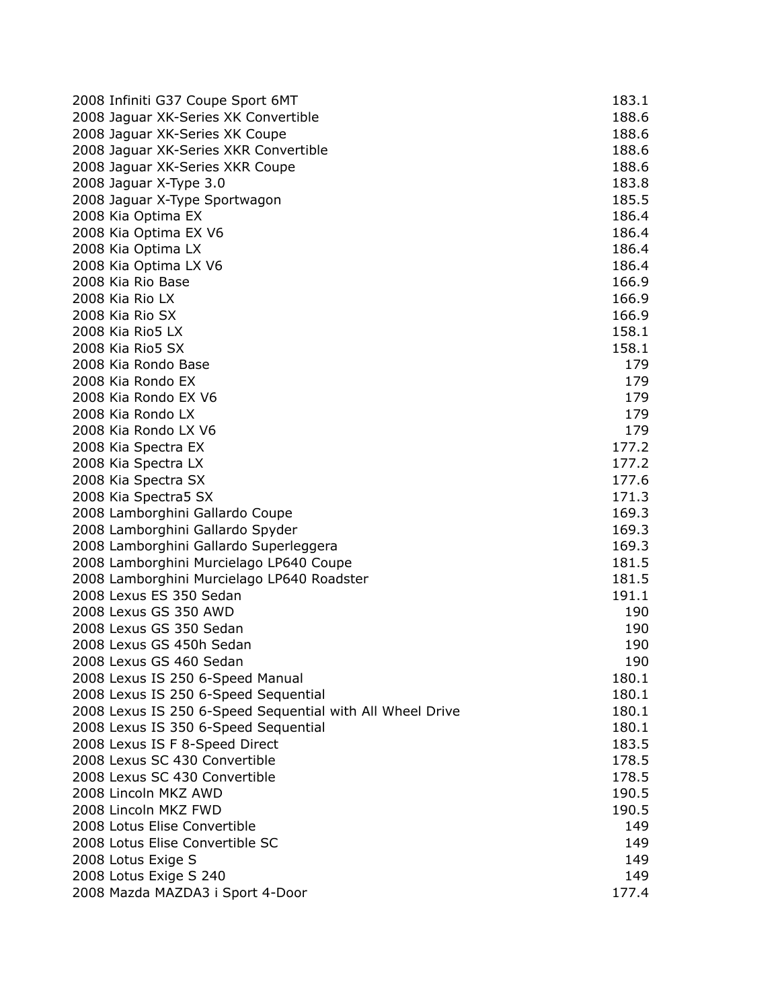| 2008 Infiniti G37 Coupe Sport 6MT                         | 183.1 |
|-----------------------------------------------------------|-------|
| 2008 Jaguar XK-Series XK Convertible                      | 188.6 |
| 2008 Jaguar XK-Series XK Coupe                            | 188.6 |
| 2008 Jaguar XK-Series XKR Convertible                     | 188.6 |
| 2008 Jaguar XK-Series XKR Coupe                           | 188.6 |
| 2008 Jaguar X-Type 3.0                                    | 183.8 |
| 2008 Jaguar X-Type Sportwagon                             | 185.5 |
| 2008 Kia Optima EX                                        | 186.4 |
| 2008 Kia Optima EX V6                                     | 186.4 |
| 2008 Kia Optima LX                                        | 186.4 |
| 2008 Kia Optima LX V6                                     | 186.4 |
| 2008 Kia Rio Base                                         | 166.9 |
| 2008 Kia Rio LX                                           | 166.9 |
| 2008 Kia Rio SX                                           | 166.9 |
| 2008 Kia Rio5 LX                                          | 158.1 |
| 2008 Kia Rio5 SX                                          | 158.1 |
| 2008 Kia Rondo Base                                       | 179   |
| 2008 Kia Rondo EX                                         | 179   |
| 2008 Kia Rondo EX V6                                      | 179   |
| 2008 Kia Rondo LX                                         | 179   |
| 2008 Kia Rondo LX V6                                      | 179   |
| 2008 Kia Spectra EX                                       | 177.2 |
| 2008 Kia Spectra LX                                       | 177.2 |
| 2008 Kia Spectra SX                                       | 177.6 |
| 2008 Kia Spectra5 SX                                      | 171.3 |
| 2008 Lamborghini Gallardo Coupe                           | 169.3 |
| 2008 Lamborghini Gallardo Spyder                          | 169.3 |
| 2008 Lamborghini Gallardo Superleggera                    | 169.3 |
| 2008 Lamborghini Murcielago LP640 Coupe                   | 181.5 |
| 2008 Lamborghini Murcielago LP640 Roadster                | 181.5 |
| 2008 Lexus ES 350 Sedan                                   | 191.1 |
| 2008 Lexus GS 350 AWD                                     | 190   |
| 2008 Lexus GS 350 Sedan                                   | 190   |
| 2008 Lexus GS 450h Sedan                                  | 190   |
| 2008 Lexus GS 460 Sedan                                   | 190   |
| 2008 Lexus IS 250 6-Speed Manual                          | 180.1 |
| 2008 Lexus IS 250 6-Speed Sequential                      | 180.1 |
| 2008 Lexus IS 250 6-Speed Sequential with All Wheel Drive | 180.1 |
| 2008 Lexus IS 350 6-Speed Sequential                      | 180.1 |
| 2008 Lexus IS F 8-Speed Direct                            | 183.5 |
| 2008 Lexus SC 430 Convertible                             | 178.5 |
| 2008 Lexus SC 430 Convertible                             | 178.5 |
| 2008 Lincoln MKZ AWD                                      | 190.5 |
| 2008 Lincoln MKZ FWD                                      | 190.5 |
| 2008 Lotus Elise Convertible                              | 149   |
| 2008 Lotus Elise Convertible SC                           | 149   |
| 2008 Lotus Exige S                                        | 149   |
| 2008 Lotus Exige S 240                                    | 149   |
| 2008 Mazda MAZDA3 i Sport 4-Door                          | 177.4 |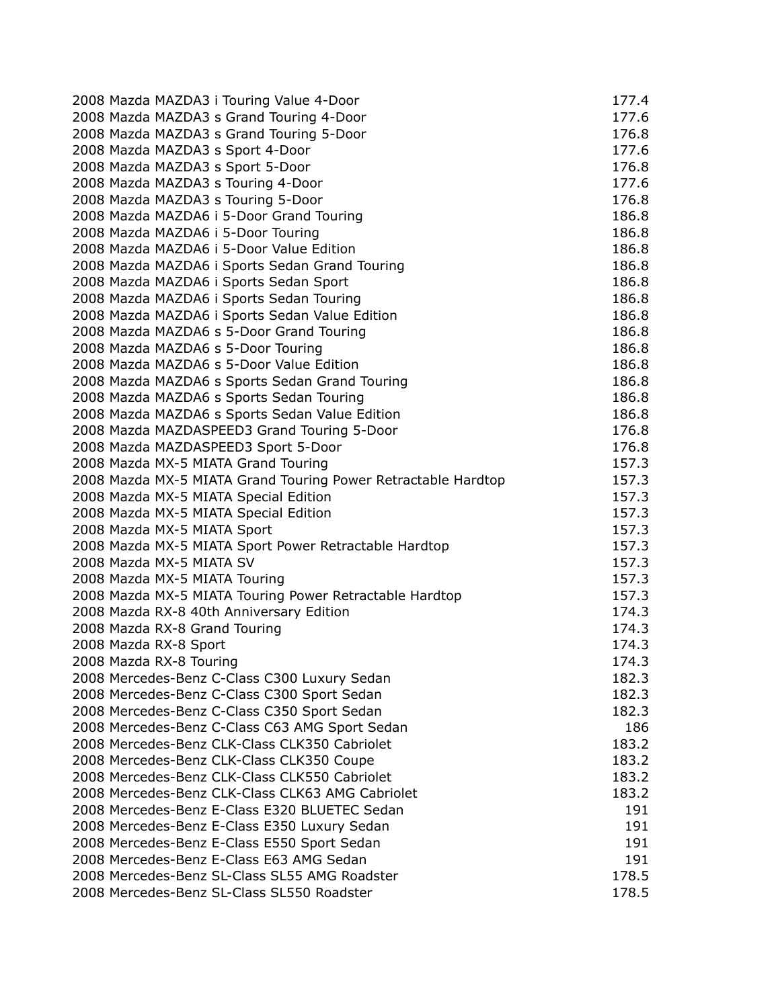| 2008 Mazda MAZDA3 i Touring Value 4-Door                      | 177.4 |
|---------------------------------------------------------------|-------|
| 2008 Mazda MAZDA3 s Grand Touring 4-Door                      | 177.6 |
| 2008 Mazda MAZDA3 s Grand Touring 5-Door                      | 176.8 |
| 2008 Mazda MAZDA3 s Sport 4-Door                              | 177.6 |
| 2008 Mazda MAZDA3 s Sport 5-Door                              | 176.8 |
| 2008 Mazda MAZDA3 s Touring 4-Door                            | 177.6 |
| 2008 Mazda MAZDA3 s Touring 5-Door                            | 176.8 |
| 2008 Mazda MAZDA6 i 5-Door Grand Touring                      | 186.8 |
| 2008 Mazda MAZDA6 i 5-Door Touring                            | 186.8 |
| 2008 Mazda MAZDA6 i 5-Door Value Edition                      | 186.8 |
| 2008 Mazda MAZDA6 i Sports Sedan Grand Touring                | 186.8 |
| 2008 Mazda MAZDA6 i Sports Sedan Sport                        | 186.8 |
| 2008 Mazda MAZDA6 i Sports Sedan Touring                      | 186.8 |
| 2008 Mazda MAZDA6 i Sports Sedan Value Edition                | 186.8 |
| 2008 Mazda MAZDA6 s 5-Door Grand Touring                      | 186.8 |
| 2008 Mazda MAZDA6 s 5-Door Touring                            | 186.8 |
| 2008 Mazda MAZDA6 s 5-Door Value Edition                      | 186.8 |
| 2008 Mazda MAZDA6 s Sports Sedan Grand Touring                | 186.8 |
| 2008 Mazda MAZDA6 s Sports Sedan Touring                      | 186.8 |
| 2008 Mazda MAZDA6 s Sports Sedan Value Edition                | 186.8 |
| 2008 Mazda MAZDASPEED3 Grand Touring 5-Door                   | 176.8 |
| 2008 Mazda MAZDASPEED3 Sport 5-Door                           | 176.8 |
| 2008 Mazda MX-5 MIATA Grand Touring                           | 157.3 |
| 2008 Mazda MX-5 MIATA Grand Touring Power Retractable Hardtop | 157.3 |
| 2008 Mazda MX-5 MIATA Special Edition                         | 157.3 |
| 2008 Mazda MX-5 MIATA Special Edition                         | 157.3 |
| 2008 Mazda MX-5 MIATA Sport                                   | 157.3 |
| 2008 Mazda MX-5 MIATA Sport Power Retractable Hardtop         | 157.3 |
| 2008 Mazda MX-5 MIATA SV                                      | 157.3 |
| 2008 Mazda MX-5 MIATA Touring                                 | 157.3 |
| 2008 Mazda MX-5 MIATA Touring Power Retractable Hardtop       | 157.3 |
| 2008 Mazda RX-8 40th Anniversary Edition                      | 174.3 |
| 2008 Mazda RX-8 Grand Touring                                 | 174.3 |
| 2008 Mazda RX-8 Sport                                         | 174.3 |
| 2008 Mazda RX-8 Touring                                       | 174.3 |
| 2008 Mercedes-Benz C-Class C300 Luxury Sedan                  | 182.3 |
| 2008 Mercedes-Benz C-Class C300 Sport Sedan                   | 182.3 |
| 2008 Mercedes-Benz C-Class C350 Sport Sedan                   | 182.3 |
| 2008 Mercedes-Benz C-Class C63 AMG Sport Sedan                | 186   |
| 2008 Mercedes-Benz CLK-Class CLK350 Cabriolet                 | 183.2 |
| 2008 Mercedes-Benz CLK-Class CLK350 Coupe                     | 183.2 |
| 2008 Mercedes-Benz CLK-Class CLK550 Cabriolet                 | 183.2 |
| 2008 Mercedes-Benz CLK-Class CLK63 AMG Cabriolet              | 183.2 |
| 2008 Mercedes-Benz E-Class E320 BLUETEC Sedan                 | 191   |
| 2008 Mercedes-Benz E-Class E350 Luxury Sedan                  | 191   |
| 2008 Mercedes-Benz E-Class E550 Sport Sedan                   | 191   |
| 2008 Mercedes-Benz E-Class E63 AMG Sedan                      | 191   |
| 2008 Mercedes-Benz SL-Class SL55 AMG Roadster                 | 178.5 |
| 2008 Mercedes-Benz SL-Class SL550 Roadster                    | 178.5 |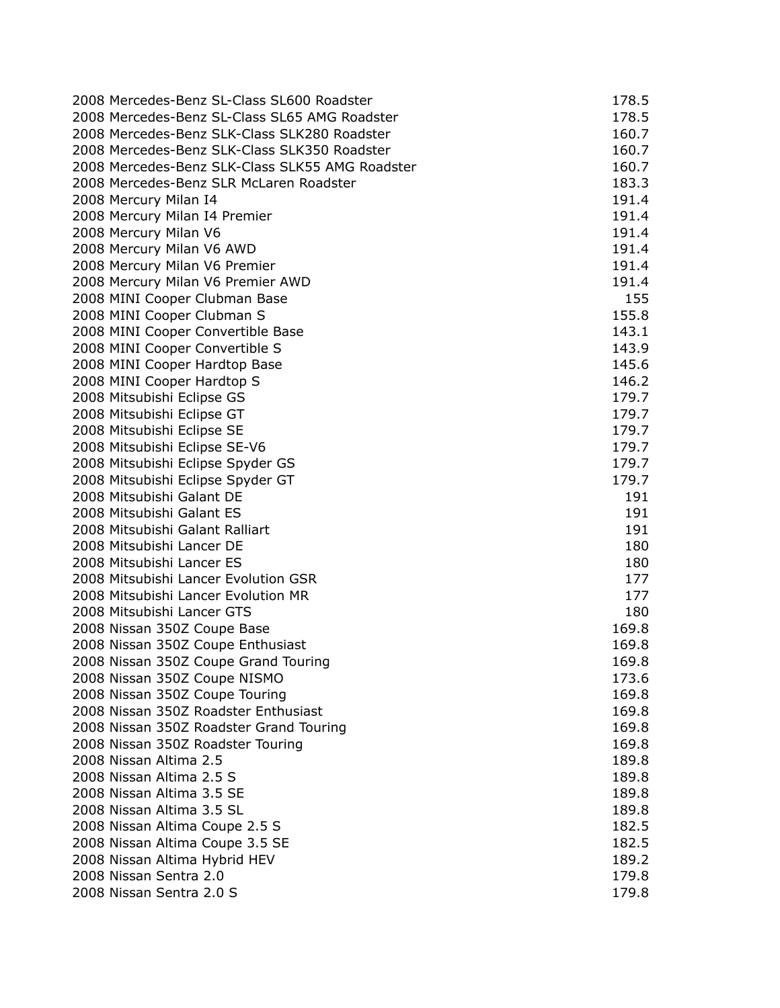| 2008 Mercedes-Benz SL-Class SL600 Roadster      | 178.5 |
|-------------------------------------------------|-------|
| 2008 Mercedes-Benz SL-Class SL65 AMG Roadster   | 178.5 |
| 2008 Mercedes-Benz SLK-Class SLK280 Roadster    | 160.7 |
| 2008 Mercedes-Benz SLK-Class SLK350 Roadster    | 160.7 |
| 2008 Mercedes-Benz SLK-Class SLK55 AMG Roadster | 160.7 |
| 2008 Mercedes-Benz SLR McLaren Roadster         | 183.3 |
| 2008 Mercury Milan I4                           | 191.4 |
| 2008 Mercury Milan I4 Premier                   | 191.4 |
| 2008 Mercury Milan V6                           | 191.4 |
| 2008 Mercury Milan V6 AWD                       | 191.4 |
| 2008 Mercury Milan V6 Premier                   | 191.4 |
| 2008 Mercury Milan V6 Premier AWD               | 191.4 |
| 2008 MINI Cooper Clubman Base                   | 155   |
| 2008 MINI Cooper Clubman S                      | 155.8 |
| 2008 MINI Cooper Convertible Base               | 143.1 |
| 2008 MINI Cooper Convertible S                  | 143.9 |
| 2008 MINI Cooper Hardtop Base                   | 145.6 |
| 2008 MINI Cooper Hardtop S                      | 146.2 |
| 2008 Mitsubishi Eclipse GS                      | 179.7 |
| 2008 Mitsubishi Eclipse GT                      | 179.7 |
| 2008 Mitsubishi Eclipse SE                      | 179.7 |
| 2008 Mitsubishi Eclipse SE-V6                   | 179.7 |
| 2008 Mitsubishi Eclipse Spyder GS               | 179.7 |
| 2008 Mitsubishi Eclipse Spyder GT               | 179.7 |
| 2008 Mitsubishi Galant DE                       | 191   |
| 2008 Mitsubishi Galant ES                       | 191   |
| 2008 Mitsubishi Galant Ralliart                 | 191   |
| 2008 Mitsubishi Lancer DE                       | 180   |
| 2008 Mitsubishi Lancer ES                       | 180   |
| 2008 Mitsubishi Lancer Evolution GSR            | 177   |
| 2008 Mitsubishi Lancer Evolution MR             | 177   |
| 2008 Mitsubishi Lancer GTS                      | 180   |
| 2008 Nissan 350Z Coupe Base                     | 169.8 |
| 2008 Nissan 350Z Coupe Enthusiast               | 169.8 |
| 2008 Nissan 350Z Coupe Grand Touring            | 169.8 |
| 2008 Nissan 350Z Coupe NISMO                    | 173.6 |
| 2008 Nissan 350Z Coupe Touring                  | 169.8 |
| 2008 Nissan 350Z Roadster Enthusiast            | 169.8 |
| 2008 Nissan 350Z Roadster Grand Touring         | 169.8 |
| 2008 Nissan 350Z Roadster Touring               | 169.8 |
| 2008 Nissan Altima 2.5                          | 189.8 |
| 2008 Nissan Altima 2.5 S                        | 189.8 |
| 2008 Nissan Altima 3.5 SE                       | 189.8 |
| 2008 Nissan Altima 3.5 SL                       | 189.8 |
| 2008 Nissan Altima Coupe 2.5 S                  | 182.5 |
| 2008 Nissan Altima Coupe 3.5 SE                 | 182.5 |
| 2008 Nissan Altima Hybrid HEV                   | 189.2 |
| 2008 Nissan Sentra 2.0                          | 179.8 |
| 2008 Nissan Sentra 2.0 S                        | 179.8 |
|                                                 |       |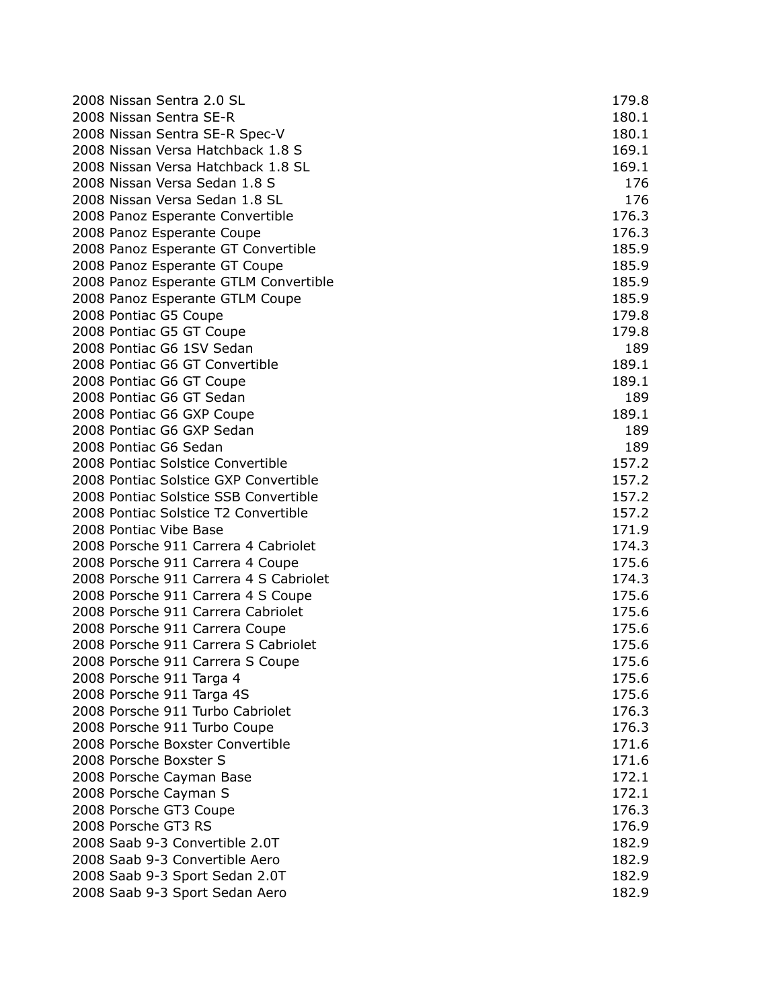| 2008 Nissan Sentra 2.0 SL              | 179.8 |
|----------------------------------------|-------|
| 2008 Nissan Sentra SE-R                | 180.1 |
| 2008 Nissan Sentra SE-R Spec-V         | 180.1 |
| 2008 Nissan Versa Hatchback 1.8 S      | 169.1 |
| 2008 Nissan Versa Hatchback 1.8 SL     | 169.1 |
| 2008 Nissan Versa Sedan 1.8 S          | 176   |
| 2008 Nissan Versa Sedan 1.8 SL         | 176   |
| 2008 Panoz Esperante Convertible       | 176.3 |
| 2008 Panoz Esperante Coupe             | 176.3 |
| 2008 Panoz Esperante GT Convertible    | 185.9 |
| 2008 Panoz Esperante GT Coupe          | 185.9 |
| 2008 Panoz Esperante GTLM Convertible  | 185.9 |
| 2008 Panoz Esperante GTLM Coupe        | 185.9 |
| 2008 Pontiac G5 Coupe                  | 179.8 |
| 2008 Pontiac G5 GT Coupe               | 179.8 |
| 2008 Pontiac G6 1SV Sedan              | 189   |
| 2008 Pontiac G6 GT Convertible         | 189.1 |
| 2008 Pontiac G6 GT Coupe               | 189.1 |
| 2008 Pontiac G6 GT Sedan               | 189   |
| 2008 Pontiac G6 GXP Coupe              | 189.1 |
| 2008 Pontiac G6 GXP Sedan              | 189   |
| 2008 Pontiac G6 Sedan                  | 189   |
| 2008 Pontiac Solstice Convertible      | 157.2 |
| 2008 Pontiac Solstice GXP Convertible  | 157.2 |
| 2008 Pontiac Solstice SSB Convertible  | 157.2 |
| 2008 Pontiac Solstice T2 Convertible   | 157.2 |
| 2008 Pontiac Vibe Base                 | 171.9 |
| 2008 Porsche 911 Carrera 4 Cabriolet   | 174.3 |
| 2008 Porsche 911 Carrera 4 Coupe       | 175.6 |
| 2008 Porsche 911 Carrera 4 S Cabriolet | 174.3 |
| 2008 Porsche 911 Carrera 4 S Coupe     | 175.6 |
| 2008 Porsche 911 Carrera Cabriolet     | 175.6 |
| 2008 Porsche 911 Carrera Coupe         | 175.6 |
| 2008 Porsche 911 Carrera S Cabriolet   | 175.6 |
| 2008 Porsche 911 Carrera S Coupe       | 175.6 |
| 2008 Porsche 911 Targa 4               | 175.6 |
| 2008 Porsche 911 Targa 4S              | 175.6 |
| 2008 Porsche 911 Turbo Cabriolet       | 176.3 |
| 2008 Porsche 911 Turbo Coupe           | 176.3 |
| 2008 Porsche Boxster Convertible       | 171.6 |
| 2008 Porsche Boxster S                 | 171.6 |
| 2008 Porsche Cayman Base               | 172.1 |
| 2008 Porsche Cayman S                  | 172.1 |
| 2008 Porsche GT3 Coupe                 | 176.3 |
| 2008 Porsche GT3 RS                    | 176.9 |
| 2008 Saab 9-3 Convertible 2.0T         | 182.9 |
| 2008 Saab 9-3 Convertible Aero         | 182.9 |
| 2008 Saab 9-3 Sport Sedan 2.0T         | 182.9 |
| 2008 Saab 9-3 Sport Sedan Aero         | 182.9 |
|                                        |       |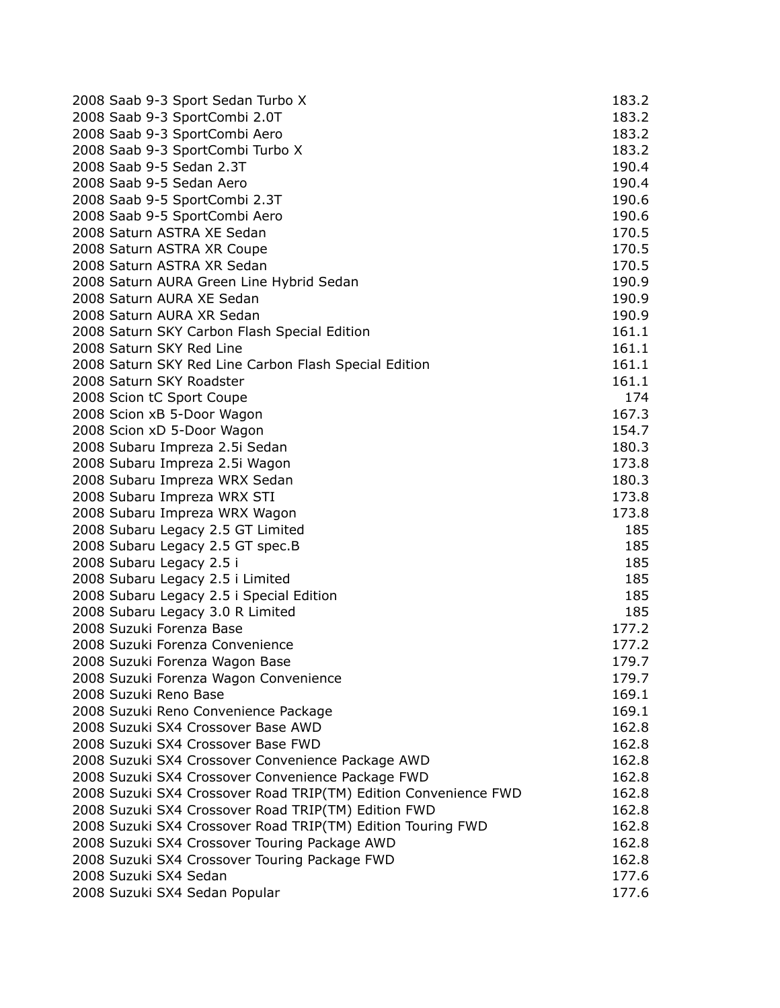| 2008 Saab 9-3 Sport Sedan Turbo X                               | 183.2 |
|-----------------------------------------------------------------|-------|
| 2008 Saab 9-3 SportCombi 2.0T                                   | 183.2 |
| 2008 Saab 9-3 SportCombi Aero                                   | 183.2 |
| 2008 Saab 9-3 SportCombi Turbo X                                | 183.2 |
| 2008 Saab 9-5 Sedan 2.3T                                        | 190.4 |
| 2008 Saab 9-5 Sedan Aero                                        | 190.4 |
| 2008 Saab 9-5 SportCombi 2.3T                                   | 190.6 |
| 2008 Saab 9-5 SportCombi Aero                                   | 190.6 |
| 2008 Saturn ASTRA XE Sedan                                      | 170.5 |
| 2008 Saturn ASTRA XR Coupe                                      | 170.5 |
| 2008 Saturn ASTRA XR Sedan                                      | 170.5 |
| 2008 Saturn AURA Green Line Hybrid Sedan                        | 190.9 |
| 2008 Saturn AURA XE Sedan                                       | 190.9 |
| 2008 Saturn AURA XR Sedan                                       | 190.9 |
| 2008 Saturn SKY Carbon Flash Special Edition                    | 161.1 |
| 2008 Saturn SKY Red Line                                        | 161.1 |
| 2008 Saturn SKY Red Line Carbon Flash Special Edition           | 161.1 |
| 2008 Saturn SKY Roadster                                        | 161.1 |
| 2008 Scion tC Sport Coupe                                       | 174   |
| 2008 Scion xB 5-Door Wagon                                      | 167.3 |
| 2008 Scion xD 5-Door Wagon                                      | 154.7 |
| 2008 Subaru Impreza 2.5i Sedan                                  | 180.3 |
| 2008 Subaru Impreza 2.5i Wagon                                  | 173.8 |
| 2008 Subaru Impreza WRX Sedan                                   | 180.3 |
| 2008 Subaru Impreza WRX STI                                     | 173.8 |
| 2008 Subaru Impreza WRX Wagon                                   | 173.8 |
| 2008 Subaru Legacy 2.5 GT Limited                               | 185   |
| 2008 Subaru Legacy 2.5 GT spec.B                                | 185   |
| 2008 Subaru Legacy 2.5 i                                        | 185   |
| 2008 Subaru Legacy 2.5 i Limited                                | 185   |
| 2008 Subaru Legacy 2.5 i Special Edition                        | 185   |
| 2008 Subaru Legacy 3.0 R Limited                                | 185   |
| 2008 Suzuki Forenza Base                                        | 177.2 |
| 2008 Suzuki Forenza Convenience                                 | 177.2 |
| 2008 Suzuki Forenza Wagon Base                                  | 179.7 |
| 2008 Suzuki Forenza Wagon Convenience                           | 179.7 |
| 2008 Suzuki Reno Base                                           | 169.1 |
| 2008 Suzuki Reno Convenience Package                            | 169.1 |
| 2008 Suzuki SX4 Crossover Base AWD                              | 162.8 |
| 2008 Suzuki SX4 Crossover Base FWD                              | 162.8 |
| 2008 Suzuki SX4 Crossover Convenience Package AWD               | 162.8 |
| 2008 Suzuki SX4 Crossover Convenience Package FWD               | 162.8 |
| 2008 Suzuki SX4 Crossover Road TRIP(TM) Edition Convenience FWD | 162.8 |
| 2008 Suzuki SX4 Crossover Road TRIP(TM) Edition FWD             | 162.8 |
| 2008 Suzuki SX4 Crossover Road TRIP(TM) Edition Touring FWD     | 162.8 |
| 2008 Suzuki SX4 Crossover Touring Package AWD                   | 162.8 |
| 2008 Suzuki SX4 Crossover Touring Package FWD                   | 162.8 |
| 2008 Suzuki SX4 Sedan                                           | 177.6 |
| 2008 Suzuki SX4 Sedan Popular                                   | 177.6 |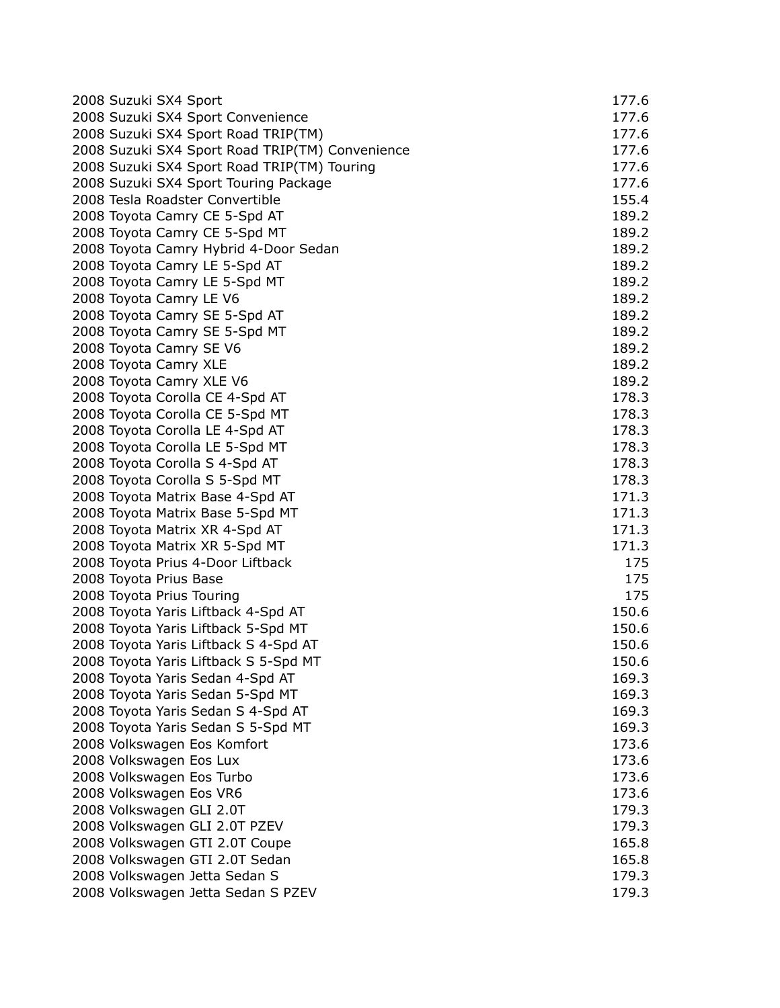| 2008 Suzuki SX4 Sport                                              | 177.6          |
|--------------------------------------------------------------------|----------------|
| 2008 Suzuki SX4 Sport Convenience                                  | 177.6          |
| 2008 Suzuki SX4 Sport Road TRIP(TM)                                | 177.6          |
| 2008 Suzuki SX4 Sport Road TRIP(TM) Convenience                    | 177.6          |
| 2008 Suzuki SX4 Sport Road TRIP(TM) Touring                        | 177.6          |
| 2008 Suzuki SX4 Sport Touring Package                              | 177.6          |
| 2008 Tesla Roadster Convertible                                    | 155.4          |
| 2008 Toyota Camry CE 5-Spd AT                                      | 189.2          |
| 2008 Toyota Camry CE 5-Spd MT                                      | 189.2          |
| 2008 Toyota Camry Hybrid 4-Door Sedan                              | 189.2          |
| 2008 Toyota Camry LE 5-Spd AT                                      | 189.2          |
| 2008 Toyota Camry LE 5-Spd MT                                      | 189.2          |
| 2008 Toyota Camry LE V6                                            | 189.2          |
| 2008 Toyota Camry SE 5-Spd AT                                      | 189.2          |
| 2008 Toyota Camry SE 5-Spd MT                                      | 189.2          |
| 2008 Toyota Camry SE V6                                            | 189.2          |
| 2008 Toyota Camry XLE                                              | 189.2          |
| 2008 Toyota Camry XLE V6                                           | 189.2          |
| 2008 Toyota Corolla CE 4-Spd AT                                    | 178.3          |
| 2008 Toyota Corolla CE 5-Spd MT                                    | 178.3          |
| 2008 Toyota Corolla LE 4-Spd AT                                    | 178.3          |
| 2008 Toyota Corolla LE 5-Spd MT                                    | 178.3          |
| 2008 Toyota Corolla S 4-Spd AT                                     | 178.3          |
| 2008 Toyota Corolla S 5-Spd MT                                     | 178.3          |
|                                                                    | 171.3          |
| 2008 Toyota Matrix Base 4-Spd AT                                   | 171.3          |
| 2008 Toyota Matrix Base 5-Spd MT<br>2008 Toyota Matrix XR 4-Spd AT |                |
|                                                                    | 171.3<br>171.3 |
| 2008 Toyota Matrix XR 5-Spd MT                                     |                |
| 2008 Toyota Prius 4-Door Liftback                                  | 175            |
| 2008 Toyota Prius Base                                             | 175            |
| 2008 Toyota Prius Touring                                          | 175            |
| 2008 Toyota Yaris Liftback 4-Spd AT                                | 150.6          |
| 2008 Toyota Yaris Liftback 5-Spd MT                                | 150.6          |
| 2008 Toyota Yaris Liftback S 4-Spd AT                              | 150.6          |
| 2008 Toyota Yaris Liftback S 5-Spd MT                              | 150.6          |
| 2008 Toyota Yaris Sedan 4-Spd AT                                   | 169.3          |
| 2008 Toyota Yaris Sedan 5-Spd MT                                   | 169.3          |
| 2008 Toyota Yaris Sedan S 4-Spd AT                                 | 169.3          |
| 2008 Toyota Yaris Sedan S 5-Spd MT                                 | 169.3          |
| 2008 Volkswagen Eos Komfort                                        | 173.6          |
| 2008 Volkswagen Eos Lux                                            | 173.6          |
| 2008 Volkswagen Eos Turbo                                          | 173.6          |
| 2008 Volkswagen Eos VR6                                            | 173.6          |
| 2008 Volkswagen GLI 2.0T                                           | 179.3          |
| 2008 Volkswagen GLI 2.0T PZEV                                      | 179.3          |
| 2008 Volkswagen GTI 2.0T Coupe                                     | 165.8          |
| 2008 Volkswagen GTI 2.0T Sedan                                     | 165.8          |
| 2008 Volkswagen Jetta Sedan S                                      | 179.3          |
| 2008 Volkswagen Jetta Sedan S PZEV                                 | 179.3          |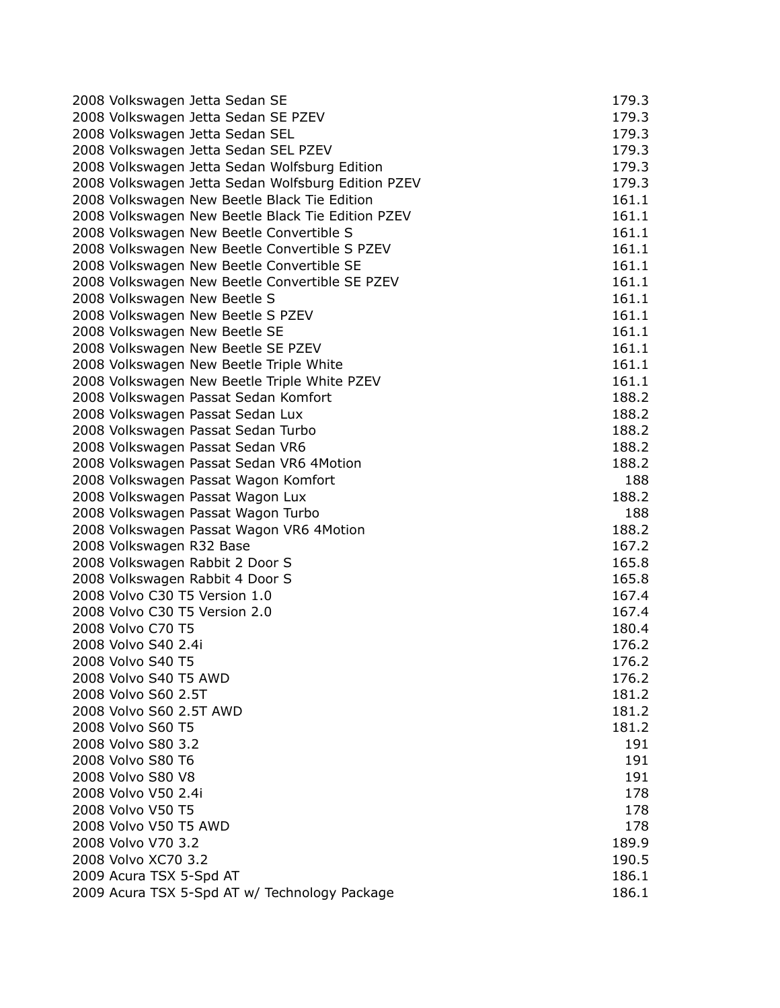| 2008 Volkswagen Jetta Sedan SE                     | 179.3 |
|----------------------------------------------------|-------|
| 2008 Volkswagen Jetta Sedan SE PZEV                | 179.3 |
| 2008 Volkswagen Jetta Sedan SEL                    | 179.3 |
| 2008 Volkswagen Jetta Sedan SEL PZEV               | 179.3 |
| 2008 Volkswagen Jetta Sedan Wolfsburg Edition      | 179.3 |
| 2008 Volkswagen Jetta Sedan Wolfsburg Edition PZEV | 179.3 |
| 2008 Volkswagen New Beetle Black Tie Edition       | 161.1 |
| 2008 Volkswagen New Beetle Black Tie Edition PZEV  | 161.1 |
| 2008 Volkswagen New Beetle Convertible S           | 161.1 |
| 2008 Volkswagen New Beetle Convertible S PZEV      | 161.1 |
| 2008 Volkswagen New Beetle Convertible SE          | 161.1 |
| 2008 Volkswagen New Beetle Convertible SE PZEV     | 161.1 |
| 2008 Volkswagen New Beetle S                       | 161.1 |
| 2008 Volkswagen New Beetle S PZEV                  | 161.1 |
| 2008 Volkswagen New Beetle SE                      | 161.1 |
| 2008 Volkswagen New Beetle SE PZEV                 | 161.1 |
| 2008 Volkswagen New Beetle Triple White            | 161.1 |
| 2008 Volkswagen New Beetle Triple White PZEV       | 161.1 |
| 2008 Volkswagen Passat Sedan Komfort               | 188.2 |
| 2008 Volkswagen Passat Sedan Lux                   | 188.2 |
| 2008 Volkswagen Passat Sedan Turbo                 | 188.2 |
| 2008 Volkswagen Passat Sedan VR6                   | 188.2 |
| 2008 Volkswagen Passat Sedan VR6 4Motion           | 188.2 |
| 2008 Volkswagen Passat Wagon Komfort               | 188   |
| 2008 Volkswagen Passat Wagon Lux                   | 188.2 |
| 2008 Volkswagen Passat Wagon Turbo                 | 188   |
| 2008 Volkswagen Passat Wagon VR6 4Motion           | 188.2 |
| 2008 Volkswagen R32 Base                           | 167.2 |
| 2008 Volkswagen Rabbit 2 Door S                    | 165.8 |
| 2008 Volkswagen Rabbit 4 Door S                    | 165.8 |
| 2008 Volvo C30 T5 Version 1.0                      | 167.4 |
| 2008 Volvo C30 T5 Version 2.0                      | 167.4 |
| 2008 Volvo C70 T5                                  | 180.4 |
| 2008 Volvo S40 2.4i                                | 176.2 |
| 2008 Volvo S40 T5                                  | 176.2 |
| 2008 Volvo S40 T5 AWD                              | 176.2 |
| 2008 Volvo S60 2.5T                                | 181.2 |
| 2008 Volvo S60 2.5T AWD                            | 181.2 |
| 2008 Volvo S60 T5                                  | 181.2 |
| 2008 Volvo S80 3.2                                 | 191   |
| 2008 Volvo S80 T6                                  | 191   |
| 2008 Volvo S80 V8                                  | 191   |
| 2008 Volvo V50 2.4i                                | 178   |
| 2008 Volvo V50 T5                                  | 178   |
| 2008 Volvo V50 T5 AWD                              | 178   |
| 2008 Volvo V70 3.2                                 | 189.9 |
| 2008 Volvo XC70 3.2                                | 190.5 |
| 2009 Acura TSX 5-Spd AT                            | 186.1 |
| 2009 Acura TSX 5-Spd AT w/ Technology Package      | 186.1 |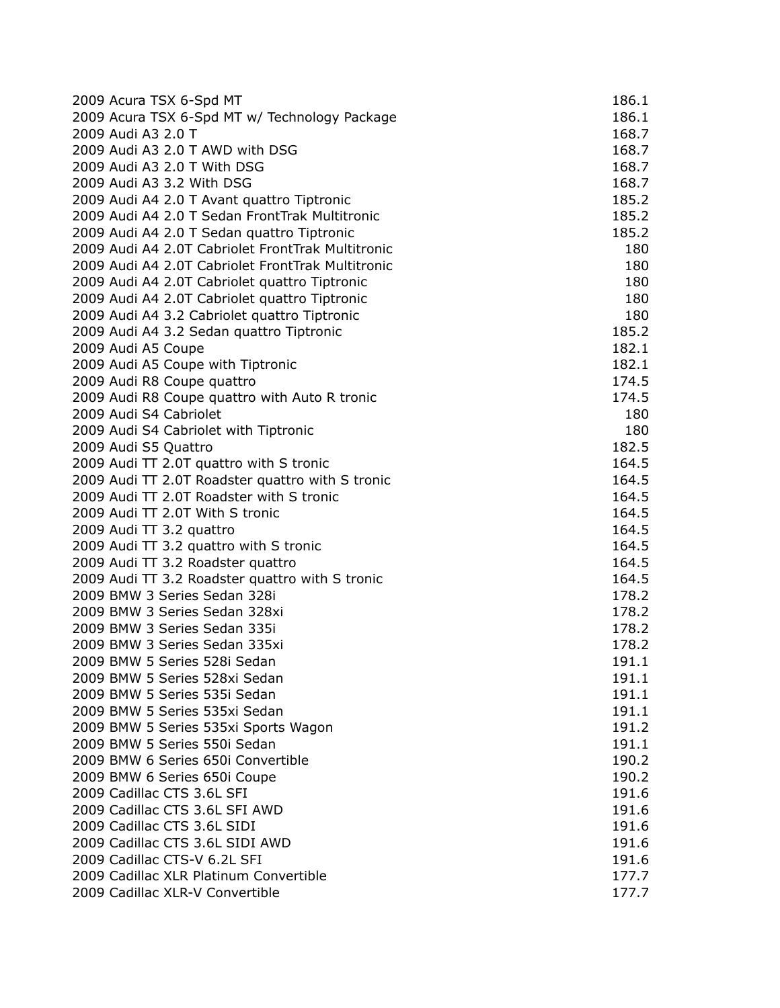| 2009 Acura TSX 6-Spd MT                           | 186.1 |
|---------------------------------------------------|-------|
| 2009 Acura TSX 6-Spd MT w/ Technology Package     | 186.1 |
| 2009 Audi A3 2.0 T                                | 168.7 |
| 2009 Audi A3 2.0 T AWD with DSG                   | 168.7 |
| 2009 Audi A3 2.0 T With DSG                       | 168.7 |
| 2009 Audi A3 3.2 With DSG                         | 168.7 |
| 2009 Audi A4 2.0 T Avant quattro Tiptronic        | 185.2 |
| 2009 Audi A4 2.0 T Sedan FrontTrak Multitronic    | 185.2 |
| 2009 Audi A4 2.0 T Sedan quattro Tiptronic        | 185.2 |
| 2009 Audi A4 2.0T Cabriolet FrontTrak Multitronic | 180   |
| 2009 Audi A4 2.0T Cabriolet FrontTrak Multitronic | 180   |
| 2009 Audi A4 2.0T Cabriolet quattro Tiptronic     | 180   |
| 2009 Audi A4 2.0T Cabriolet quattro Tiptronic     | 180   |
| 2009 Audi A4 3.2 Cabriolet quattro Tiptronic      | 180   |
| 2009 Audi A4 3.2 Sedan quattro Tiptronic          | 185.2 |
| 2009 Audi A5 Coupe                                | 182.1 |
| 2009 Audi A5 Coupe with Tiptronic                 | 182.1 |
| 2009 Audi R8 Coupe quattro                        | 174.5 |
| 2009 Audi R8 Coupe quattro with Auto R tronic     | 174.5 |
| 2009 Audi S4 Cabriolet                            | 180   |
| 2009 Audi S4 Cabriolet with Tiptronic             | 180   |
| 2009 Audi S5 Quattro                              | 182.5 |
| 2009 Audi TT 2.0T quattro with S tronic           | 164.5 |
| 2009 Audi TT 2.0T Roadster quattro with S tronic  | 164.5 |
| 2009 Audi TT 2.0T Roadster with S tronic          | 164.5 |
| 2009 Audi TT 2.0T With S tronic                   | 164.5 |
| 2009 Audi TT 3.2 quattro                          | 164.5 |
| 2009 Audi TT 3.2 quattro with S tronic            | 164.5 |
| 2009 Audi TT 3.2 Roadster quattro                 | 164.5 |
| 2009 Audi TT 3.2 Roadster quattro with S tronic   | 164.5 |
| 2009 BMW 3 Series Sedan 328i                      | 178.2 |
| 2009 BMW 3 Series Sedan 328xi                     | 178.2 |
| 2009 BMW 3 Series Sedan 335i                      | 178.2 |
| 2009 BMW 3 Series Sedan 335xi                     | 178.2 |
| 2009 BMW 5 Series 528i Sedan                      | 191.1 |
| 2009 BMW 5 Series 528xi Sedan                     | 191.1 |
| 2009 BMW 5 Series 535i Sedan                      | 191.1 |
| 2009 BMW 5 Series 535xi Sedan                     | 191.1 |
| 2009 BMW 5 Series 535xi Sports Wagon              | 191.2 |
| 2009 BMW 5 Series 550i Sedan                      | 191.1 |
| 2009 BMW 6 Series 650i Convertible                | 190.2 |
| 2009 BMW 6 Series 650i Coupe                      | 190.2 |
| 2009 Cadillac CTS 3.6L SFI                        | 191.6 |
| 2009 Cadillac CTS 3.6L SFI AWD                    | 191.6 |
| 2009 Cadillac CTS 3.6L SIDI                       | 191.6 |
| 2009 Cadillac CTS 3.6L SIDI AWD                   | 191.6 |
| 2009 Cadillac CTS-V 6.2L SFI                      | 191.6 |
| 2009 Cadillac XLR Platinum Convertible            | 177.7 |
| 2009 Cadillac XLR-V Convertible                   | 177.7 |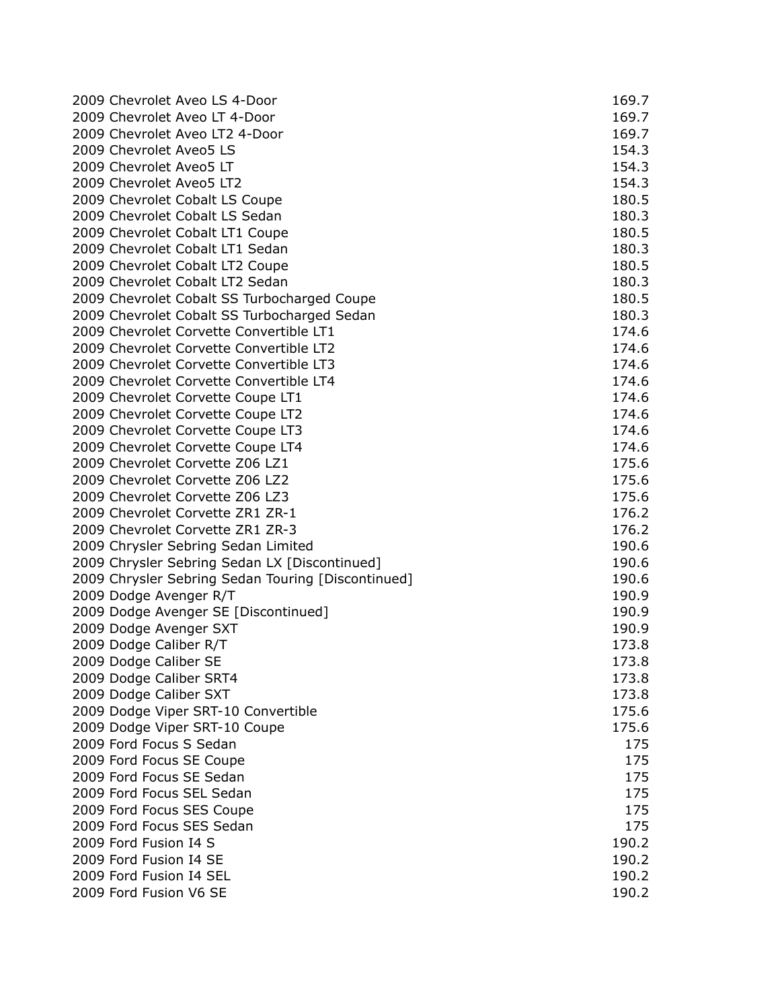| 2009 Chevrolet Aveo LS 4-Door                                        | 169.7 |
|----------------------------------------------------------------------|-------|
| 2009 Chevrolet Aveo LT 4-Door                                        | 169.7 |
| 2009 Chevrolet Aveo LT2 4-Door                                       | 169.7 |
| 2009 Chevrolet Aveo5 LS                                              | 154.3 |
| 2009 Chevrolet Aveo5 LT                                              | 154.3 |
| 2009 Chevrolet Aveo5 LT2                                             | 154.3 |
| 2009 Chevrolet Cobalt LS Coupe                                       | 180.5 |
| 2009 Chevrolet Cobalt LS Sedan                                       | 180.3 |
| 2009 Chevrolet Cobalt LT1 Coupe                                      | 180.5 |
| 2009 Chevrolet Cobalt LT1 Sedan                                      | 180.3 |
| 2009 Chevrolet Cobalt LT2 Coupe                                      | 180.5 |
| 2009 Chevrolet Cobalt LT2 Sedan                                      | 180.3 |
| 2009 Chevrolet Cobalt SS Turbocharged Coupe                          | 180.5 |
| 2009 Chevrolet Cobalt SS Turbocharged Sedan                          | 180.3 |
| 2009 Chevrolet Corvette Convertible LT1                              | 174.6 |
| 2009 Chevrolet Corvette Convertible LT2                              | 174.6 |
| 2009 Chevrolet Corvette Convertible LT3                              | 174.6 |
| 2009 Chevrolet Corvette Convertible LT4                              | 174.6 |
| 2009 Chevrolet Corvette Coupe LT1                                    | 174.6 |
|                                                                      | 174.6 |
| 2009 Chevrolet Corvette Coupe LT2                                    | 174.6 |
| 2009 Chevrolet Corvette Coupe LT3                                    |       |
| 2009 Chevrolet Corvette Coupe LT4<br>2009 Chevrolet Corvette Z06 LZ1 | 174.6 |
|                                                                      | 175.6 |
| 2009 Chevrolet Corvette Z06 LZ2                                      | 175.6 |
| 2009 Chevrolet Corvette Z06 LZ3                                      | 175.6 |
| 2009 Chevrolet Corvette ZR1 ZR-1                                     | 176.2 |
| 2009 Chevrolet Corvette ZR1 ZR-3                                     | 176.2 |
| 2009 Chrysler Sebring Sedan Limited                                  | 190.6 |
| 2009 Chrysler Sebring Sedan LX [Discontinued]                        | 190.6 |
| 2009 Chrysler Sebring Sedan Touring [Discontinued]                   | 190.6 |
| 2009 Dodge Avenger R/T                                               | 190.9 |
| 2009 Dodge Avenger SE [Discontinued]                                 | 190.9 |
| 2009 Dodge Avenger SXT                                               | 190.9 |
| 2009 Dodge Caliber R/T                                               | 173.8 |
| 2009 Dodge Caliber SE                                                | 173.8 |
| 2009 Dodge Caliber SRT4                                              | 173.8 |
| 2009 Dodge Caliber SXT                                               | 173.8 |
| 2009 Dodge Viper SRT-10 Convertible                                  | 175.6 |
| 2009 Dodge Viper SRT-10 Coupe                                        | 175.6 |
| 2009 Ford Focus S Sedan                                              | 175   |
| 2009 Ford Focus SE Coupe                                             | 175   |
| 2009 Ford Focus SE Sedan                                             | 175   |
| 2009 Ford Focus SEL Sedan                                            | 175   |
| 2009 Ford Focus SES Coupe                                            | 175   |
| 2009 Ford Focus SES Sedan                                            | 175   |
| 2009 Ford Fusion I4 S                                                | 190.2 |
| 2009 Ford Fusion I4 SE                                               | 190.2 |
| 2009 Ford Fusion I4 SEL                                              | 190.2 |
| 2009 Ford Fusion V6 SE                                               | 190.2 |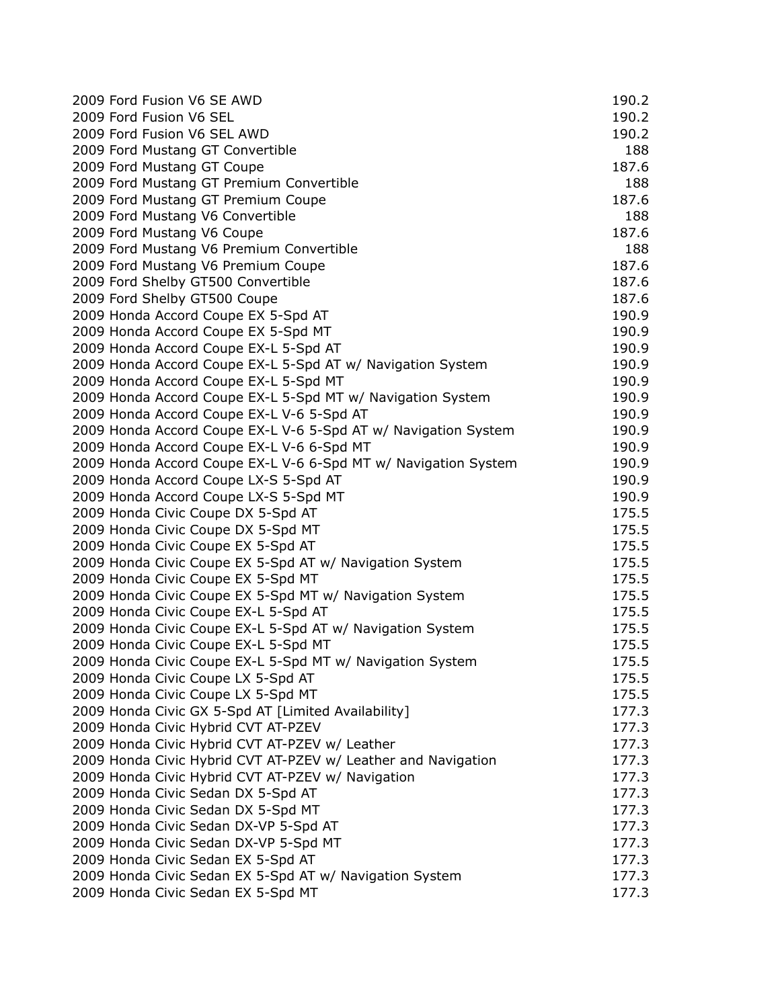| 2009 Ford Fusion V6 SE AWD                                     | 190.2 |
|----------------------------------------------------------------|-------|
| 2009 Ford Fusion V6 SEL                                        | 190.2 |
| 2009 Ford Fusion V6 SEL AWD                                    | 190.2 |
| 2009 Ford Mustang GT Convertible                               | 188   |
| 2009 Ford Mustang GT Coupe                                     | 187.6 |
| 2009 Ford Mustang GT Premium Convertible                       | 188   |
| 2009 Ford Mustang GT Premium Coupe                             | 187.6 |
| 2009 Ford Mustang V6 Convertible                               | 188   |
| 2009 Ford Mustang V6 Coupe                                     | 187.6 |
| 2009 Ford Mustang V6 Premium Convertible                       | 188   |
| 2009 Ford Mustang V6 Premium Coupe                             | 187.6 |
| 2009 Ford Shelby GT500 Convertible                             | 187.6 |
| 2009 Ford Shelby GT500 Coupe                                   | 187.6 |
| 2009 Honda Accord Coupe EX 5-Spd AT                            | 190.9 |
| 2009 Honda Accord Coupe EX 5-Spd MT                            | 190.9 |
| 2009 Honda Accord Coupe EX-L 5-Spd AT                          | 190.9 |
| 2009 Honda Accord Coupe EX-L 5-Spd AT w/ Navigation System     | 190.9 |
| 2009 Honda Accord Coupe EX-L 5-Spd MT                          | 190.9 |
| 2009 Honda Accord Coupe EX-L 5-Spd MT w/ Navigation System     | 190.9 |
| 2009 Honda Accord Coupe EX-L V-6 5-Spd AT                      | 190.9 |
| 2009 Honda Accord Coupe EX-L V-6 5-Spd AT w/ Navigation System | 190.9 |
| 2009 Honda Accord Coupe EX-L V-6 6-Spd MT                      | 190.9 |
| 2009 Honda Accord Coupe EX-L V-6 6-Spd MT w/ Navigation System | 190.9 |
| 2009 Honda Accord Coupe LX-S 5-Spd AT                          | 190.9 |
| 2009 Honda Accord Coupe LX-S 5-Spd MT                          | 190.9 |
| 2009 Honda Civic Coupe DX 5-Spd AT                             | 175.5 |
| 2009 Honda Civic Coupe DX 5-Spd MT                             | 175.5 |
| 2009 Honda Civic Coupe EX 5-Spd AT                             | 175.5 |
| 2009 Honda Civic Coupe EX 5-Spd AT w/ Navigation System        | 175.5 |
| 2009 Honda Civic Coupe EX 5-Spd MT                             | 175.5 |
| 2009 Honda Civic Coupe EX 5-Spd MT w/ Navigation System        | 175.5 |
| 2009 Honda Civic Coupe EX-L 5-Spd AT                           | 175.5 |
| 2009 Honda Civic Coupe EX-L 5-Spd AT w/ Navigation System      | 175.5 |
| 2009 Honda Civic Coupe EX-L 5-Spd MT                           | 175.5 |
| 2009 Honda Civic Coupe EX-L 5-Spd MT w/ Navigation System      | 175.5 |
| 2009 Honda Civic Coupe LX 5-Spd AT                             | 175.5 |
| 2009 Honda Civic Coupe LX 5-Spd MT                             | 175.5 |
| 2009 Honda Civic GX 5-Spd AT [Limited Availability]            | 177.3 |
| 2009 Honda Civic Hybrid CVT AT-PZEV                            | 177.3 |
| 2009 Honda Civic Hybrid CVT AT-PZEV w/ Leather                 | 177.3 |
| 2009 Honda Civic Hybrid CVT AT-PZEV w/ Leather and Navigation  | 177.3 |
| 2009 Honda Civic Hybrid CVT AT-PZEV w/ Navigation              | 177.3 |
| 2009 Honda Civic Sedan DX 5-Spd AT                             | 177.3 |
| 2009 Honda Civic Sedan DX 5-Spd MT                             | 177.3 |
| 2009 Honda Civic Sedan DX-VP 5-Spd AT                          | 177.3 |
| 2009 Honda Civic Sedan DX-VP 5-Spd MT                          | 177.3 |
| 2009 Honda Civic Sedan EX 5-Spd AT                             | 177.3 |
| 2009 Honda Civic Sedan EX 5-Spd AT w/ Navigation System        | 177.3 |
| 2009 Honda Civic Sedan EX 5-Spd MT                             | 177.3 |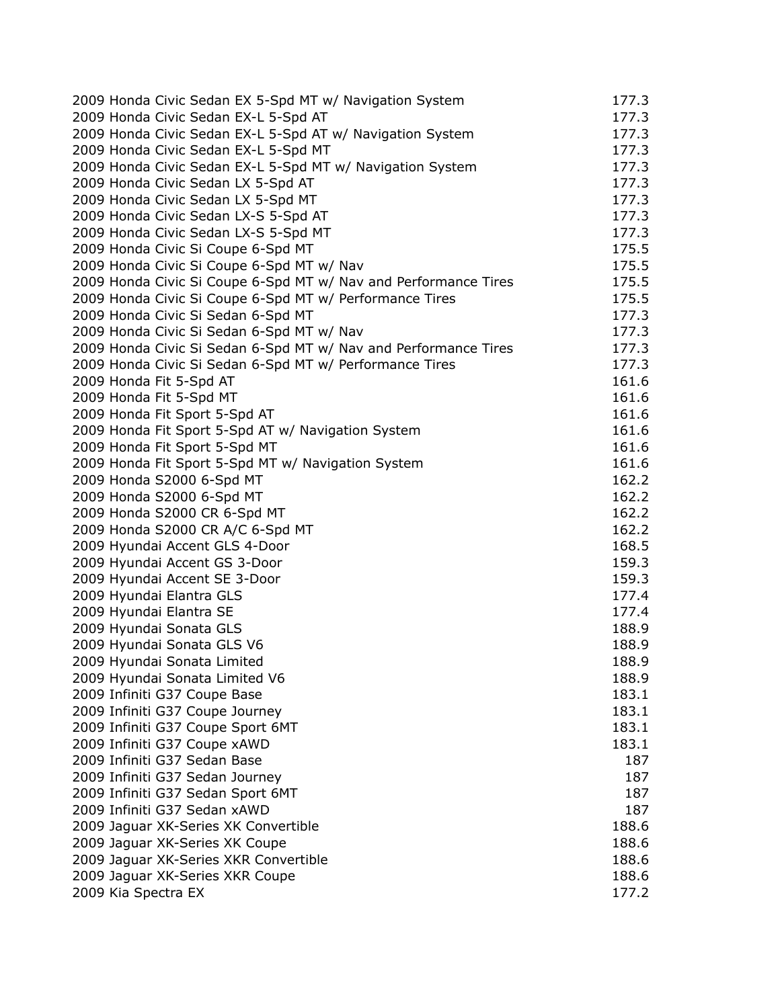| 2009 Honda Civic Sedan EX 5-Spd MT w/ Navigation System         | 177.3 |
|-----------------------------------------------------------------|-------|
| 2009 Honda Civic Sedan EX-L 5-Spd AT                            | 177.3 |
| 2009 Honda Civic Sedan EX-L 5-Spd AT w/ Navigation System       | 177.3 |
| 2009 Honda Civic Sedan EX-L 5-Spd MT                            | 177.3 |
| 2009 Honda Civic Sedan EX-L 5-Spd MT w/ Navigation System       | 177.3 |
| 2009 Honda Civic Sedan LX 5-Spd AT                              | 177.3 |
| 2009 Honda Civic Sedan LX 5-Spd MT                              | 177.3 |
| 2009 Honda Civic Sedan LX-S 5-Spd AT                            | 177.3 |
| 2009 Honda Civic Sedan LX-S 5-Spd MT                            | 177.3 |
| 2009 Honda Civic Si Coupe 6-Spd MT                              | 175.5 |
| 2009 Honda Civic Si Coupe 6-Spd MT w/ Nav                       | 175.5 |
| 2009 Honda Civic Si Coupe 6-Spd MT w/ Nav and Performance Tires | 175.5 |
| 2009 Honda Civic Si Coupe 6-Spd MT w/ Performance Tires         | 175.5 |
| 2009 Honda Civic Si Sedan 6-Spd MT                              | 177.3 |
| 2009 Honda Civic Si Sedan 6-Spd MT w/ Nav                       | 177.3 |
| 2009 Honda Civic Si Sedan 6-Spd MT w/ Nav and Performance Tires | 177.3 |
| 2009 Honda Civic Si Sedan 6-Spd MT w/ Performance Tires         | 177.3 |
| 2009 Honda Fit 5-Spd AT                                         | 161.6 |
| 2009 Honda Fit 5-Spd MT                                         | 161.6 |
| 2009 Honda Fit Sport 5-Spd AT                                   | 161.6 |
| 2009 Honda Fit Sport 5-Spd AT w/ Navigation System              | 161.6 |
|                                                                 | 161.6 |
| 2009 Honda Fit Sport 5-Spd MT                                   | 161.6 |
| 2009 Honda Fit Sport 5-Spd MT w/ Navigation System              |       |
| 2009 Honda S2000 6-Spd MT                                       | 162.2 |
| 2009 Honda S2000 6-Spd MT                                       | 162.2 |
| 2009 Honda S2000 CR 6-Spd MT                                    | 162.2 |
| 2009 Honda S2000 CR A/C 6-Spd MT                                | 162.2 |
| 2009 Hyundai Accent GLS 4-Door                                  | 168.5 |
| 2009 Hyundai Accent GS 3-Door                                   | 159.3 |
| 2009 Hyundai Accent SE 3-Door                                   | 159.3 |
| 2009 Hyundai Elantra GLS                                        | 177.4 |
| 2009 Hyundai Elantra SE                                         | 177.4 |
| 2009 Hyundai Sonata GLS                                         | 188.9 |
| 2009 Hyundai Sonata GLS V6                                      | 188.9 |
| 2009 Hyundai Sonata Limited                                     | 188.9 |
| 2009 Hyundai Sonata Limited V6                                  | 188.9 |
| 2009 Infiniti G37 Coupe Base                                    | 183.1 |
| 2009 Infiniti G37 Coupe Journey                                 | 183.1 |
| 2009 Infiniti G37 Coupe Sport 6MT                               | 183.1 |
| 2009 Infiniti G37 Coupe xAWD                                    | 183.1 |
| 2009 Infiniti G37 Sedan Base                                    | 187   |
| 2009 Infiniti G37 Sedan Journey                                 | 187   |
| 2009 Infiniti G37 Sedan Sport 6MT                               | 187   |
| 2009 Infiniti G37 Sedan xAWD                                    | 187   |
| 2009 Jaguar XK-Series XK Convertible                            | 188.6 |
| 2009 Jaguar XK-Series XK Coupe                                  | 188.6 |
| 2009 Jaguar XK-Series XKR Convertible                           | 188.6 |
| 2009 Jaguar XK-Series XKR Coupe                                 | 188.6 |
| 2009 Kia Spectra EX                                             | 177.2 |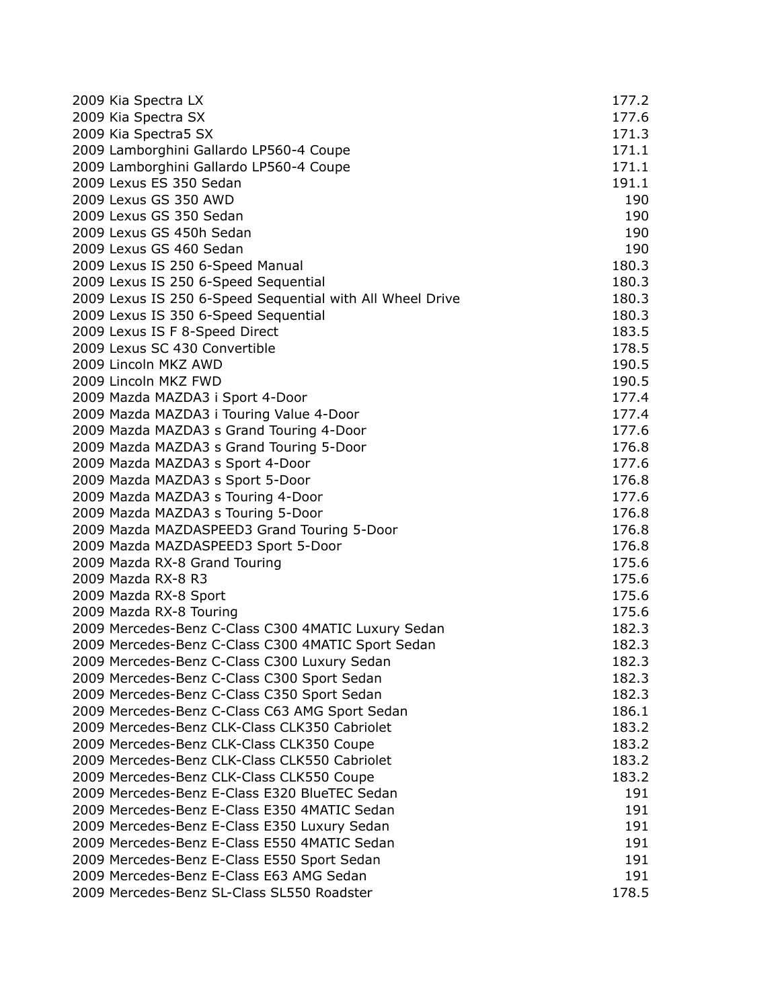| 2009 Kia Spectra LX                                       | 177.2 |
|-----------------------------------------------------------|-------|
| 2009 Kia Spectra SX                                       | 177.6 |
| 2009 Kia Spectra5 SX                                      | 171.3 |
| 2009 Lamborghini Gallardo LP560-4 Coupe                   | 171.1 |
| 2009 Lamborghini Gallardo LP560-4 Coupe                   | 171.1 |
| 2009 Lexus ES 350 Sedan                                   | 191.1 |
| 2009 Lexus GS 350 AWD                                     | 190   |
| 2009 Lexus GS 350 Sedan                                   | 190   |
| 2009 Lexus GS 450h Sedan                                  | 190   |
| 2009 Lexus GS 460 Sedan                                   | 190   |
| 2009 Lexus IS 250 6-Speed Manual                          | 180.3 |
| 2009 Lexus IS 250 6-Speed Sequential                      | 180.3 |
| 2009 Lexus IS 250 6-Speed Sequential with All Wheel Drive | 180.3 |
| 2009 Lexus IS 350 6-Speed Sequential                      | 180.3 |
| 2009 Lexus IS F 8-Speed Direct                            | 183.5 |
| 2009 Lexus SC 430 Convertible                             | 178.5 |
| 2009 Lincoln MKZ AWD                                      | 190.5 |
| 2009 Lincoln MKZ FWD                                      | 190.5 |
| 2009 Mazda MAZDA3 i Sport 4-Door                          | 177.4 |
| 2009 Mazda MAZDA3 i Touring Value 4-Door                  | 177.4 |
| 2009 Mazda MAZDA3 s Grand Touring 4-Door                  | 177.6 |
| 2009 Mazda MAZDA3 s Grand Touring 5-Door                  | 176.8 |
| 2009 Mazda MAZDA3 s Sport 4-Door                          | 177.6 |
| 2009 Mazda MAZDA3 s Sport 5-Door                          | 176.8 |
| 2009 Mazda MAZDA3 s Touring 4-Door                        | 177.6 |
| 2009 Mazda MAZDA3 s Touring 5-Door                        | 176.8 |
| 2009 Mazda MAZDASPEED3 Grand Touring 5-Door               | 176.8 |
| 2009 Mazda MAZDASPEED3 Sport 5-Door                       | 176.8 |
| 2009 Mazda RX-8 Grand Touring                             | 175.6 |
| 2009 Mazda RX-8 R3                                        | 175.6 |
| 2009 Mazda RX-8 Sport                                     | 175.6 |
| 2009 Mazda RX-8 Touring                                   | 175.6 |
| 2009 Mercedes-Benz C-Class C300 4MATIC Luxury Sedan       | 182.3 |
| 2009 Mercedes-Benz C-Class C300 4MATIC Sport Sedan        | 182.3 |
| 2009 Mercedes-Benz C-Class C300 Luxury Sedan              | 182.3 |
| 2009 Mercedes-Benz C-Class C300 Sport Sedan               | 182.3 |
| 2009 Mercedes-Benz C-Class C350 Sport Sedan               | 182.3 |
| 2009 Mercedes-Benz C-Class C63 AMG Sport Sedan            | 186.1 |
| 2009 Mercedes-Benz CLK-Class CLK350 Cabriolet             | 183.2 |
| 2009 Mercedes-Benz CLK-Class CLK350 Coupe                 | 183.2 |
| 2009 Mercedes-Benz CLK-Class CLK550 Cabriolet             | 183.2 |
| 2009 Mercedes-Benz CLK-Class CLK550 Coupe                 | 183.2 |
| 2009 Mercedes-Benz E-Class E320 BlueTEC Sedan             | 191   |
| 2009 Mercedes-Benz E-Class E350 4MATIC Sedan              | 191   |
| 2009 Mercedes-Benz E-Class E350 Luxury Sedan              | 191   |
| 2009 Mercedes-Benz E-Class E550 4MATIC Sedan              | 191   |
| 2009 Mercedes-Benz E-Class E550 Sport Sedan               | 191   |
| 2009 Mercedes-Benz E-Class E63 AMG Sedan                  | 191   |
| 2009 Mercedes-Benz SL-Class SL550 Roadster                | 178.5 |
|                                                           |       |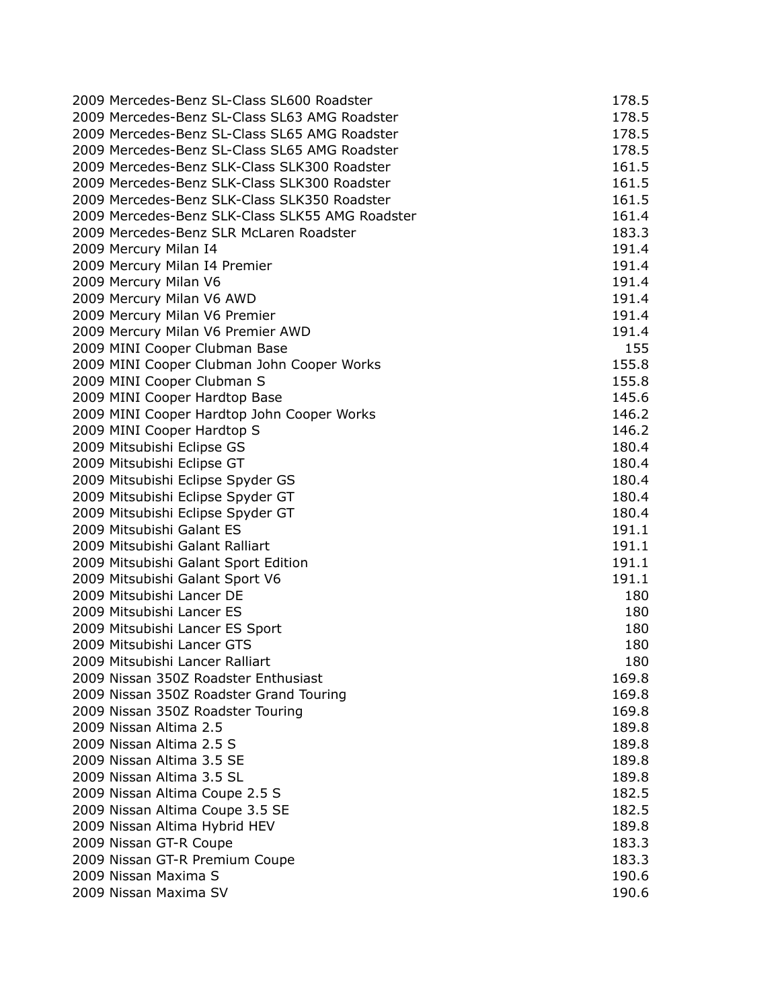| 2009 Mercedes-Benz SL-Class SL600 Roadster      | 178.5 |
|-------------------------------------------------|-------|
| 2009 Mercedes-Benz SL-Class SL63 AMG Roadster   | 178.5 |
| 2009 Mercedes-Benz SL-Class SL65 AMG Roadster   | 178.5 |
| 2009 Mercedes-Benz SL-Class SL65 AMG Roadster   | 178.5 |
| 2009 Mercedes-Benz SLK-Class SLK300 Roadster    | 161.5 |
| 2009 Mercedes-Benz SLK-Class SLK300 Roadster    | 161.5 |
| 2009 Mercedes-Benz SLK-Class SLK350 Roadster    | 161.5 |
| 2009 Mercedes-Benz SLK-Class SLK55 AMG Roadster | 161.4 |
| 2009 Mercedes-Benz SLR McLaren Roadster         | 183.3 |
| 2009 Mercury Milan I4                           | 191.4 |
| 2009 Mercury Milan I4 Premier                   | 191.4 |
| 2009 Mercury Milan V6                           | 191.4 |
| 2009 Mercury Milan V6 AWD                       | 191.4 |
| 2009 Mercury Milan V6 Premier                   | 191.4 |
| 2009 Mercury Milan V6 Premier AWD               | 191.4 |
| 2009 MINI Cooper Clubman Base                   | 155   |
| 2009 MINI Cooper Clubman John Cooper Works      | 155.8 |
| 2009 MINI Cooper Clubman S                      | 155.8 |
| 2009 MINI Cooper Hardtop Base                   | 145.6 |
| 2009 MINI Cooper Hardtop John Cooper Works      | 146.2 |
| 2009 MINI Cooper Hardtop S                      | 146.2 |
| 2009 Mitsubishi Eclipse GS                      | 180.4 |
| 2009 Mitsubishi Eclipse GT                      | 180.4 |
| 2009 Mitsubishi Eclipse Spyder GS               | 180.4 |
| 2009 Mitsubishi Eclipse Spyder GT               | 180.4 |
| 2009 Mitsubishi Eclipse Spyder GT               | 180.4 |
| 2009 Mitsubishi Galant ES                       | 191.1 |
| 2009 Mitsubishi Galant Ralliart                 | 191.1 |
| 2009 Mitsubishi Galant Sport Edition            | 191.1 |
| 2009 Mitsubishi Galant Sport V6                 | 191.1 |
| 2009 Mitsubishi Lancer DE                       | 180   |
| 2009 Mitsubishi Lancer ES                       | 180   |
| 2009 Mitsubishi Lancer ES Sport                 | 180   |
| 2009 Mitsubishi Lancer GTS                      | 180   |
| 2009 Mitsubishi Lancer Ralliart                 | 180   |
| 2009 Nissan 350Z Roadster Enthusiast            | 169.8 |
| 2009 Nissan 350Z Roadster Grand Touring         | 169.8 |
| 2009 Nissan 350Z Roadster Touring               | 169.8 |
| 2009 Nissan Altima 2.5                          | 189.8 |
| 2009 Nissan Altima 2.5 S                        | 189.8 |
| 2009 Nissan Altima 3.5 SE                       | 189.8 |
| 2009 Nissan Altima 3.5 SL                       | 189.8 |
| 2009 Nissan Altima Coupe 2.5 S                  | 182.5 |
| 2009 Nissan Altima Coupe 3.5 SE                 | 182.5 |
| 2009 Nissan Altima Hybrid HEV                   | 189.8 |
| 2009 Nissan GT-R Coupe                          | 183.3 |
| 2009 Nissan GT-R Premium Coupe                  | 183.3 |
| 2009 Nissan Maxima S                            | 190.6 |
| 2009 Nissan Maxima SV                           | 190.6 |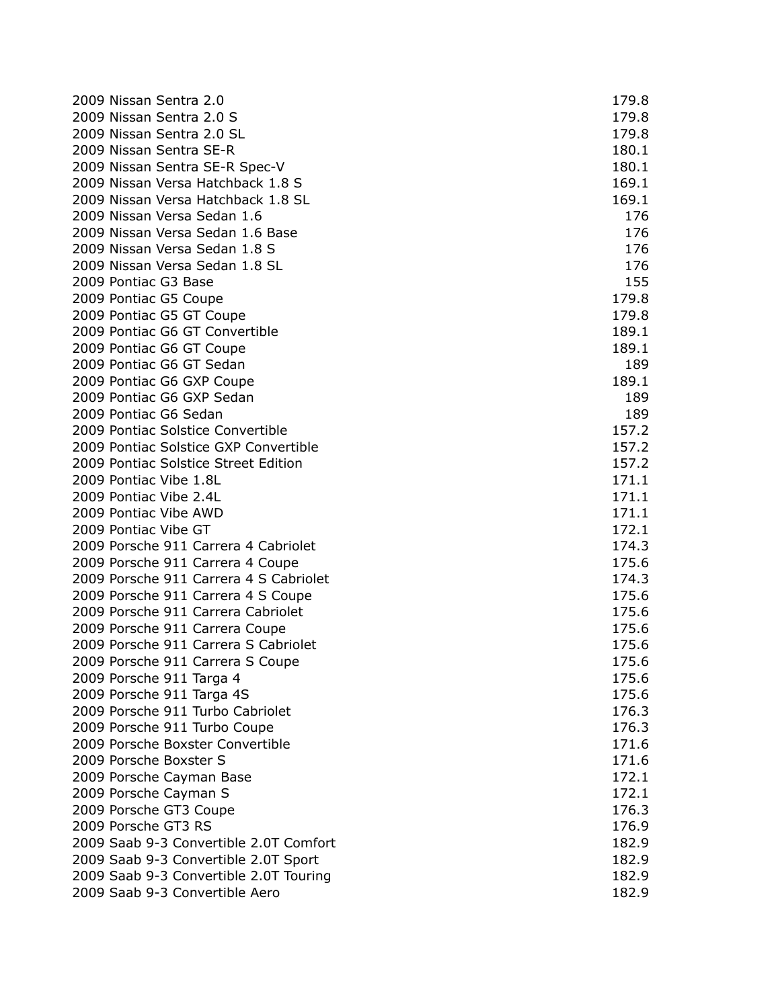| 2009 Nissan Sentra 2.0                 | 179.8 |
|----------------------------------------|-------|
| 2009 Nissan Sentra 2.0 S               | 179.8 |
| 2009 Nissan Sentra 2.0 SL              | 179.8 |
| 2009 Nissan Sentra SE-R                | 180.1 |
| 2009 Nissan Sentra SE-R Spec-V         | 180.1 |
| 2009 Nissan Versa Hatchback 1.8 S      | 169.1 |
| 2009 Nissan Versa Hatchback 1.8 SL     | 169.1 |
| 2009 Nissan Versa Sedan 1.6            | 176   |
| 2009 Nissan Versa Sedan 1.6 Base       | 176   |
| 2009 Nissan Versa Sedan 1.8 S          | 176   |
| 2009 Nissan Versa Sedan 1.8 SL         | 176   |
| 2009 Pontiac G3 Base                   | 155   |
| 2009 Pontiac G5 Coupe                  | 179.8 |
| 2009 Pontiac G5 GT Coupe               | 179.8 |
| 2009 Pontiac G6 GT Convertible         | 189.1 |
| 2009 Pontiac G6 GT Coupe               | 189.1 |
| 2009 Pontiac G6 GT Sedan               | 189   |
| 2009 Pontiac G6 GXP Coupe              | 189.1 |
| 2009 Pontiac G6 GXP Sedan              | 189   |
| 2009 Pontiac G6 Sedan                  | 189   |
| 2009 Pontiac Solstice Convertible      | 157.2 |
| 2009 Pontiac Solstice GXP Convertible  | 157.2 |
| 2009 Pontiac Solstice Street Edition   | 157.2 |
| 2009 Pontiac Vibe 1.8L                 | 171.1 |
| 2009 Pontiac Vibe 2.4L                 | 171.1 |
| 2009 Pontiac Vibe AWD                  | 171.1 |
| 2009 Pontiac Vibe GT                   | 172.1 |
| 2009 Porsche 911 Carrera 4 Cabriolet   | 174.3 |
| 2009 Porsche 911 Carrera 4 Coupe       | 175.6 |
| 2009 Porsche 911 Carrera 4 S Cabriolet | 174.3 |
| 2009 Porsche 911 Carrera 4 S Coupe     | 175.6 |
| 2009 Porsche 911 Carrera Cabriolet     | 175.6 |
| 2009 Porsche 911 Carrera Coupe         | 175.6 |
| 2009 Porsche 911 Carrera S Cabriolet   | 175.6 |
| 2009 Porsche 911 Carrera S Coupe       | 175.6 |
| 2009 Porsche 911 Targa 4               | 175.6 |
| 2009 Porsche 911 Targa 4S              | 175.6 |
| 2009 Porsche 911 Turbo Cabriolet       | 176.3 |
| 2009 Porsche 911 Turbo Coupe           | 176.3 |
| 2009 Porsche Boxster Convertible       | 171.6 |
| 2009 Porsche Boxster S                 | 171.6 |
| 2009 Porsche Cayman Base               | 172.1 |
| 2009 Porsche Cayman S                  | 172.1 |
| 2009 Porsche GT3 Coupe                 | 176.3 |
| 2009 Porsche GT3 RS                    | 176.9 |
| 2009 Saab 9-3 Convertible 2.0T Comfort | 182.9 |
| 2009 Saab 9-3 Convertible 2.0T Sport   | 182.9 |
| 2009 Saab 9-3 Convertible 2.0T Touring | 182.9 |
| 2009 Saab 9-3 Convertible Aero         | 182.9 |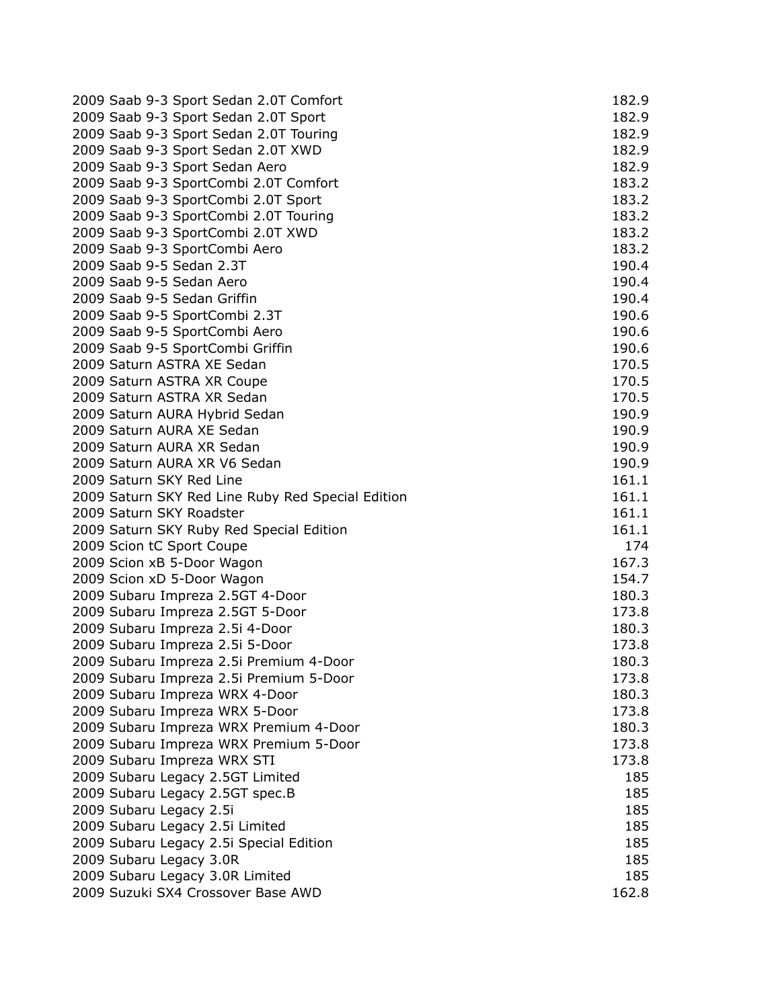| 2009 Saab 9-3 Sport Sedan 2.0T Comfort                     | 182.9 |
|------------------------------------------------------------|-------|
| 2009 Saab 9-3 Sport Sedan 2.0T Sport                       | 182.9 |
| 2009 Saab 9-3 Sport Sedan 2.0T Touring                     | 182.9 |
| 2009 Saab 9-3 Sport Sedan 2.0T XWD                         | 182.9 |
| 2009 Saab 9-3 Sport Sedan Aero                             | 182.9 |
| 2009 Saab 9-3 SportCombi 2.0T Comfort                      | 183.2 |
| 2009 Saab 9-3 SportCombi 2.0T Sport                        | 183.2 |
| 2009 Saab 9-3 SportCombi 2.0T Touring                      | 183.2 |
| 2009 Saab 9-3 SportCombi 2.0T XWD                          | 183.2 |
| 2009 Saab 9-3 SportCombi Aero                              | 183.2 |
| 2009 Saab 9-5 Sedan 2.3T                                   | 190.4 |
| 2009 Saab 9-5 Sedan Aero                                   | 190.4 |
| 2009 Saab 9-5 Sedan Griffin                                | 190.4 |
| 2009 Saab 9-5 SportCombi 2.3T                              | 190.6 |
| 2009 Saab 9-5 SportCombi Aero                              | 190.6 |
| 2009 Saab 9-5 SportCombi Griffin                           | 190.6 |
| 2009 Saturn ASTRA XE Sedan                                 | 170.5 |
|                                                            | 170.5 |
| 2009 Saturn ASTRA XR Coupe<br>2009 Saturn ASTRA XR Sedan   | 170.5 |
|                                                            |       |
| 2009 Saturn AURA Hybrid Sedan<br>2009 Saturn AURA XE Sedan | 190.9 |
|                                                            | 190.9 |
| 2009 Saturn AURA XR Sedan                                  | 190.9 |
| 2009 Saturn AURA XR V6 Sedan                               | 190.9 |
| 2009 Saturn SKY Red Line                                   | 161.1 |
| 2009 Saturn SKY Red Line Ruby Red Special Edition          | 161.1 |
| 2009 Saturn SKY Roadster                                   | 161.1 |
| 2009 Saturn SKY Ruby Red Special Edition                   | 161.1 |
| 2009 Scion tC Sport Coupe                                  | 174   |
| 2009 Scion xB 5-Door Wagon                                 | 167.3 |
| 2009 Scion xD 5-Door Wagon                                 | 154.7 |
| 2009 Subaru Impreza 2.5GT 4-Door                           | 180.3 |
| 2009 Subaru Impreza 2.5GT 5-Door                           | 173.8 |
| 2009 Subaru Impreza 2.5i 4-Door                            | 180.3 |
| 2009 Subaru Impreza 2.5i 5-Door                            | 173.8 |
| 2009 Subaru Impreza 2.5i Premium 4-Door                    | 180.3 |
| 2009 Subaru Impreza 2.5i Premium 5-Door                    | 173.8 |
| 2009 Subaru Impreza WRX 4-Door                             | 180.3 |
| 2009 Subaru Impreza WRX 5-Door                             | 173.8 |
| 2009 Subaru Impreza WRX Premium 4-Door                     | 180.3 |
| 2009 Subaru Impreza WRX Premium 5-Door                     | 173.8 |
| 2009 Subaru Impreza WRX STI                                | 173.8 |
| 2009 Subaru Legacy 2.5GT Limited                           | 185   |
| 2009 Subaru Legacy 2.5GT spec.B                            | 185   |
| 2009 Subaru Legacy 2.5i                                    | 185   |
| 2009 Subaru Legacy 2.5i Limited                            | 185   |
| 2009 Subaru Legacy 2.5i Special Edition                    | 185   |
| 2009 Subaru Legacy 3.0R                                    | 185   |
| 2009 Subaru Legacy 3.0R Limited                            | 185   |
| 2009 Suzuki SX4 Crossover Base AWD                         | 162.8 |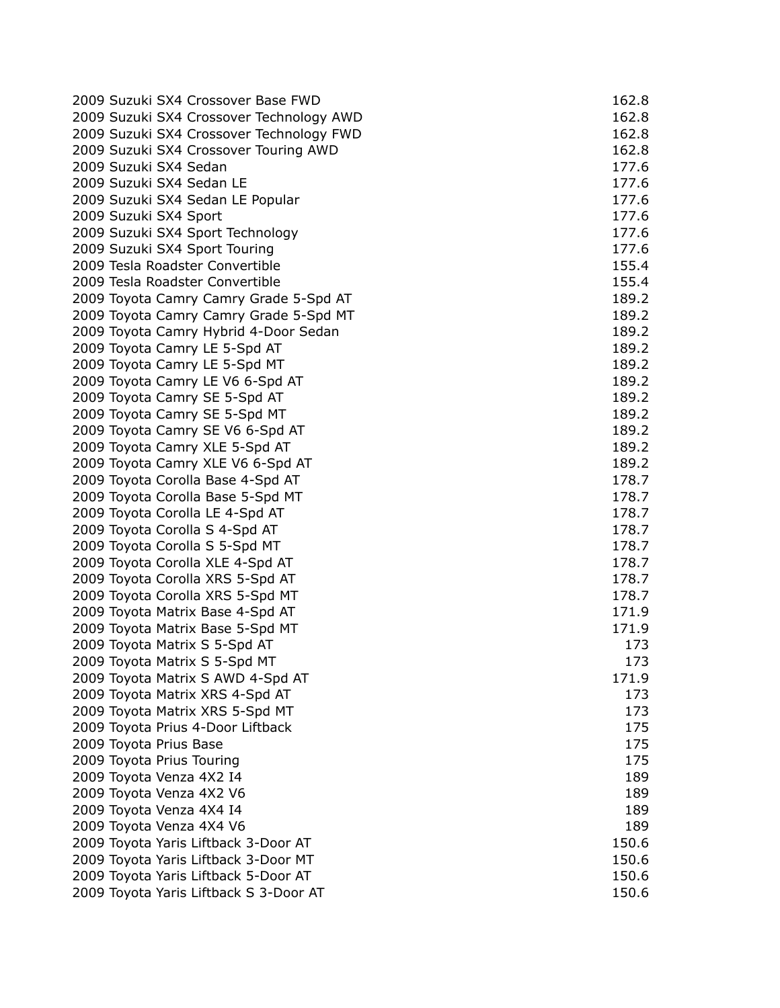| 2009 Suzuki SX4 Crossover Base FWD       | 162.8 |
|------------------------------------------|-------|
| 2009 Suzuki SX4 Crossover Technology AWD | 162.8 |
| 2009 Suzuki SX4 Crossover Technology FWD | 162.8 |
| 2009 Suzuki SX4 Crossover Touring AWD    | 162.8 |
| 2009 Suzuki SX4 Sedan                    | 177.6 |
| 2009 Suzuki SX4 Sedan LE                 | 177.6 |
| 2009 Suzuki SX4 Sedan LE Popular         | 177.6 |
| 2009 Suzuki SX4 Sport                    | 177.6 |
| 2009 Suzuki SX4 Sport Technology         | 177.6 |
| 2009 Suzuki SX4 Sport Touring            | 177.6 |
| 2009 Tesla Roadster Convertible          | 155.4 |
| 2009 Tesla Roadster Convertible          | 155.4 |
| 2009 Toyota Camry Camry Grade 5-Spd AT   | 189.2 |
| 2009 Toyota Camry Camry Grade 5-Spd MT   | 189.2 |
| 2009 Toyota Camry Hybrid 4-Door Sedan    | 189.2 |
| 2009 Toyota Camry LE 5-Spd AT            | 189.2 |
| 2009 Toyota Camry LE 5-Spd MT            | 189.2 |
| 2009 Toyota Camry LE V6 6-Spd AT         | 189.2 |
| 2009 Toyota Camry SE 5-Spd AT            | 189.2 |
| 2009 Toyota Camry SE 5-Spd MT            | 189.2 |
| 2009 Toyota Camry SE V6 6-Spd AT         | 189.2 |
| 2009 Toyota Camry XLE 5-Spd AT           | 189.2 |
| 2009 Toyota Camry XLE V6 6-Spd AT        | 189.2 |
| 2009 Toyota Corolla Base 4-Spd AT        | 178.7 |
| 2009 Toyota Corolla Base 5-Spd MT        | 178.7 |
| 2009 Toyota Corolla LE 4-Spd AT          | 178.7 |
| 2009 Toyota Corolla S 4-Spd AT           | 178.7 |
| 2009 Toyota Corolla S 5-Spd MT           | 178.7 |
| 2009 Toyota Corolla XLE 4-Spd AT         | 178.7 |
| 2009 Toyota Corolla XRS 5-Spd AT         | 178.7 |
| 2009 Toyota Corolla XRS 5-Spd MT         | 178.7 |
| 2009 Toyota Matrix Base 4-Spd AT         | 171.9 |
| 2009 Toyota Matrix Base 5-Spd MT         | 171.9 |
| 2009 Toyota Matrix S 5-Spd AT            | 173   |
| 2009 Toyota Matrix S 5-Spd MT            | 173   |
| 2009 Toyota Matrix S AWD 4-Spd AT        | 171.9 |
| 2009 Toyota Matrix XRS 4-Spd AT          | 173   |
| 2009 Toyota Matrix XRS 5-Spd MT          | 173   |
| 2009 Toyota Prius 4-Door Liftback        | 175   |
| 2009 Toyota Prius Base                   | 175   |
| 2009 Toyota Prius Touring                | 175   |
| 2009 Toyota Venza 4X2 I4                 | 189   |
| 2009 Toyota Venza 4X2 V6                 | 189   |
| 2009 Toyota Venza 4X4 I4                 | 189   |
| 2009 Toyota Venza 4X4 V6                 | 189   |
| 2009 Toyota Yaris Liftback 3-Door AT     | 150.6 |
| 2009 Toyota Yaris Liftback 3-Door MT     | 150.6 |
| 2009 Toyota Yaris Liftback 5-Door AT     | 150.6 |
| 2009 Toyota Yaris Liftback S 3-Door AT   | 150.6 |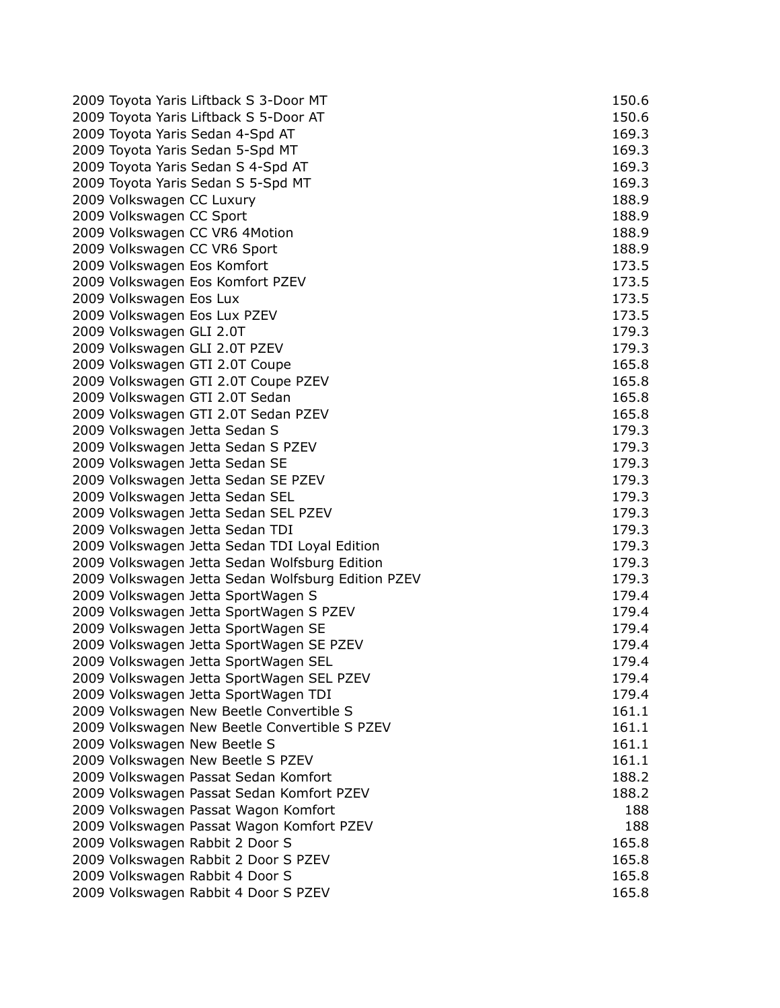|                           | 2009 Toyota Yaris Liftback S 3-Door MT             | 150.6 |
|---------------------------|----------------------------------------------------|-------|
|                           | 2009 Toyota Yaris Liftback S 5-Door AT             | 150.6 |
|                           | 2009 Toyota Yaris Sedan 4-Spd AT                   | 169.3 |
|                           | 2009 Toyota Yaris Sedan 5-Spd MT                   | 169.3 |
|                           | 2009 Toyota Yaris Sedan S 4-Spd AT                 | 169.3 |
|                           | 2009 Toyota Yaris Sedan S 5-Spd MT                 | 169.3 |
| 2009 Volkswagen CC Luxury |                                                    | 188.9 |
| 2009 Volkswagen CC Sport  |                                                    | 188.9 |
|                           | 2009 Volkswagen CC VR6 4Motion                     | 188.9 |
|                           | 2009 Volkswagen CC VR6 Sport                       | 188.9 |
|                           | 2009 Volkswagen Eos Komfort                        | 173.5 |
|                           | 2009 Volkswagen Eos Komfort PZEV                   | 173.5 |
| 2009 Volkswagen Eos Lux   |                                                    | 173.5 |
|                           | 2009 Volkswagen Eos Lux PZEV                       | 173.5 |
| 2009 Volkswagen GLI 2.0T  |                                                    | 179.3 |
|                           | 2009 Volkswagen GLI 2.0T PZEV                      | 179.3 |
|                           | 2009 Volkswagen GTI 2.0T Coupe                     | 165.8 |
|                           | 2009 Volkswagen GTI 2.0T Coupe PZEV                | 165.8 |
|                           | 2009 Volkswagen GTI 2.0T Sedan                     | 165.8 |
|                           | 2009 Volkswagen GTI 2.0T Sedan PZEV                | 165.8 |
|                           | 2009 Volkswagen Jetta Sedan S                      | 179.3 |
|                           | 2009 Volkswagen Jetta Sedan S PZEV                 | 179.3 |
|                           | 2009 Volkswagen Jetta Sedan SE                     | 179.3 |
|                           | 2009 Volkswagen Jetta Sedan SE PZEV                | 179.3 |
|                           | 2009 Volkswagen Jetta Sedan SEL                    | 179.3 |
|                           | 2009 Volkswagen Jetta Sedan SEL PZEV               | 179.3 |
|                           | 2009 Volkswagen Jetta Sedan TDI                    | 179.3 |
|                           | 2009 Volkswagen Jetta Sedan TDI Loyal Edition      | 179.3 |
|                           | 2009 Volkswagen Jetta Sedan Wolfsburg Edition      | 179.3 |
|                           | 2009 Volkswagen Jetta Sedan Wolfsburg Edition PZEV | 179.3 |
|                           | 2009 Volkswagen Jetta SportWagen S                 | 179.4 |
|                           | 2009 Volkswagen Jetta SportWagen S PZEV            | 179.4 |
|                           | 2009 Volkswagen Jetta SportWagen SE                | 179.4 |
|                           | 2009 Volkswagen Jetta SportWagen SE PZEV           | 179.4 |
|                           | 2009 Volkswagen Jetta SportWagen SEL               | 179.4 |
|                           | 2009 Volkswagen Jetta SportWagen SEL PZEV          | 179.4 |
|                           | 2009 Volkswagen Jetta SportWagen TDI               | 179.4 |
|                           | 2009 Volkswagen New Beetle Convertible S           | 161.1 |
|                           | 2009 Volkswagen New Beetle Convertible S PZEV      | 161.1 |
|                           | 2009 Volkswagen New Beetle S                       | 161.1 |
|                           | 2009 Volkswagen New Beetle S PZEV                  | 161.1 |
|                           | 2009 Volkswagen Passat Sedan Komfort               | 188.2 |
|                           | 2009 Volkswagen Passat Sedan Komfort PZEV          | 188.2 |
|                           | 2009 Volkswagen Passat Wagon Komfort               | 188   |
|                           | 2009 Volkswagen Passat Wagon Komfort PZEV          | 188   |
|                           | 2009 Volkswagen Rabbit 2 Door S                    | 165.8 |
|                           | 2009 Volkswagen Rabbit 2 Door S PZEV               | 165.8 |
|                           | 2009 Volkswagen Rabbit 4 Door S                    | 165.8 |
|                           | 2009 Volkswagen Rabbit 4 Door S PZEV               | 165.8 |